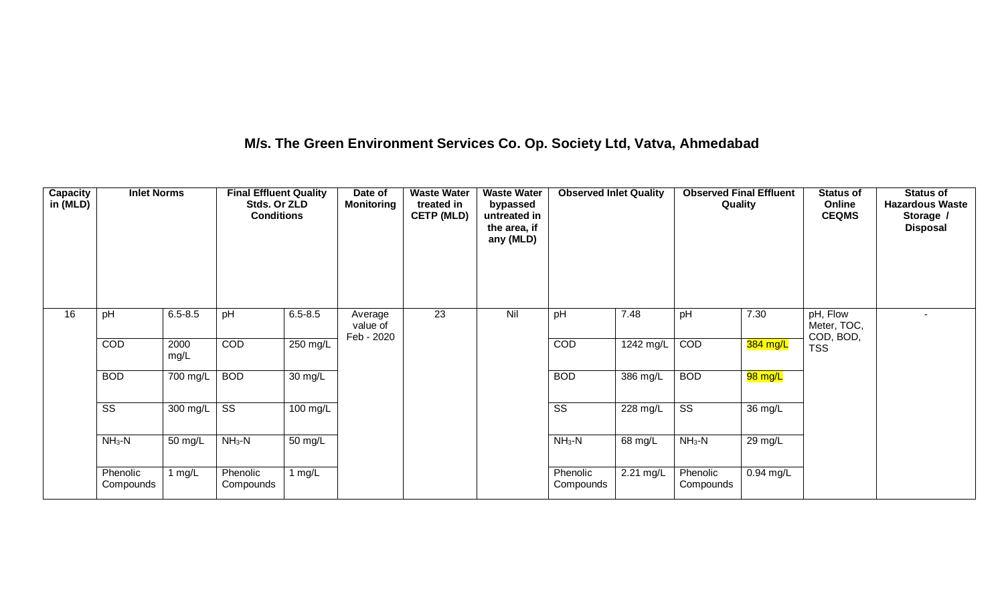### **M/s. The Green Environment Services Co. Op. Society Ltd, Vatva, Ahmedabad**

| Capacity<br>in (MLD) | <b>Inlet Norms</b>     |              | <b>Final Effluent Quality</b><br>Stds. Or ZLD<br><b>Conditions</b> |             | Date of<br><b>Monitoring</b>      | <b>Waste Water</b><br>treated in<br><b>CETP (MLD)</b> | <b>Waste Water</b><br>bypassed<br>untreated in<br>the area, if<br>any (MLD) | <b>Observed Inlet Quality</b> |           | <b>Observed Final Effluent</b><br>Quality |             | <b>Status of</b><br>Online<br><b>CEQMS</b> | <b>Status of</b><br><b>Hazardous Waste</b><br>Storage /<br><b>Disposal</b> |
|----------------------|------------------------|--------------|--------------------------------------------------------------------|-------------|-----------------------------------|-------------------------------------------------------|-----------------------------------------------------------------------------|-------------------------------|-----------|-------------------------------------------|-------------|--------------------------------------------|----------------------------------------------------------------------------|
| 16                   | pH                     | $6.5 - 8.5$  | pH                                                                 | $6.5 - 8.5$ | Average<br>value of<br>Feb - 2020 | 23                                                    | Nil                                                                         | pH                            | 7.48      | pH                                        | 7.30        | pH, Flow<br>Meter, TOC,<br>COD, BOD,       |                                                                            |
|                      | COD                    | 2000<br>mg/L | COD                                                                | 250 mg/L    |                                   |                                                       |                                                                             | COD                           | 1242 mg/L | COD                                       | 384 mg/L    | <b>TSS</b>                                 |                                                                            |
|                      | <b>BOD</b>             | 700 mg/L     | <b>BOD</b>                                                         | 30 mg/L     |                                   |                                                       |                                                                             | <b>BOD</b>                    | 386 mg/L  | <b>BOD</b>                                | 98 mg/L     |                                            |                                                                            |
|                      | $\overline{\text{SS}}$ | 300 mg/L     | $\overline{\text{ss}}$                                             | 100 mg/L    |                                   |                                                       |                                                                             | $\overline{\text{ss}}$        | 228 mg/L  | $\overline{\text{SS}}$                    | 36 mg/L     |                                            |                                                                            |
|                      | $NH3-N$                | 50 mg/L      | $NH3-N$                                                            | 50 mg/L     |                                   |                                                       |                                                                             | $NH3-N$                       | 68 mg/L   | $NH3-N$                                   | 29 mg/L     |                                            |                                                                            |
|                      | Phenolic<br>Compounds  | 1 mg/L       | Phenolic<br>Compounds                                              | 1 $mg/L$    |                                   |                                                       |                                                                             | Phenolic<br>Compounds         | 2.21 mg/L | Phenolic<br>Compounds                     | $0.94$ mg/L |                                            |                                                                            |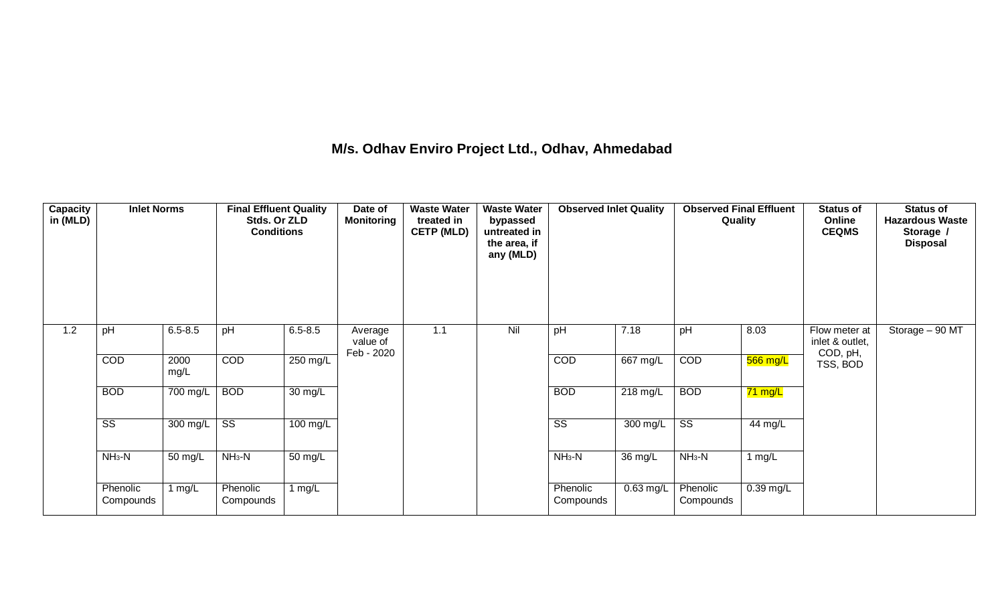#### **M/s. Odhav Enviro Project Ltd., Odhav, Ahmedabad**

| <b>Capacity</b><br>in (MLD) | <b>Inlet Norms</b>     |              | <b>Final Effluent Quality</b><br>Stds. Or ZLD<br><b>Conditions</b> |             | Date of<br><b>Monitoring</b>      | <b>Waste Water</b><br>treated in<br><b>CETP (MLD)</b> | <b>Waste Water</b><br>bypassed<br>untreated in<br>the area, if<br>any (MLD) | <b>Observed Inlet Quality</b> |                    | <b>Observed Final Effluent</b><br>Quality |                      | <b>Status of</b><br>Online<br><b>CEQMS</b>   | <b>Status of</b><br><b>Hazardous Waste</b><br>Storage /<br><b>Disposal</b> |
|-----------------------------|------------------------|--------------|--------------------------------------------------------------------|-------------|-----------------------------------|-------------------------------------------------------|-----------------------------------------------------------------------------|-------------------------------|--------------------|-------------------------------------------|----------------------|----------------------------------------------|----------------------------------------------------------------------------|
| 1.2                         | pH                     | $6.5 - 8.5$  | pH                                                                 | $6.5 - 8.5$ | Average<br>value of<br>Feb - 2020 | 1.1                                                   | Nil                                                                         | pH                            | 7.18               | pH                                        | 8.03                 | Flow meter at<br>inlet & outlet,<br>COD, pH, | Storage $-90$ MT                                                           |
|                             | COD                    | 2000<br>mg/L | COD                                                                | 250 mg/L    |                                   |                                                       |                                                                             | COD                           | $667 \text{ mg/L}$ | COD                                       | 566 mg/L             | TSS, BOD                                     |                                                                            |
|                             | <b>BOD</b>             | 700 mg/L     | <b>BOD</b>                                                         | 30 mg/L     |                                   |                                                       |                                                                             | <b>BOD</b>                    | 218 mg/L           | <b>BOD</b>                                | <mark>71 mg/L</mark> |                                              |                                                                            |
|                             | $\overline{\text{ss}}$ | 300 mg/L     | $\overline{\text{ss}}$                                             | 100 mg/L    |                                   |                                                       |                                                                             | $\overline{\text{ss}}$        | 300 mg/L           | $\overline{\text{ss}}$                    | 44 mg/L              |                                              |                                                                            |
|                             | $NH3-N$                | 50 mg/L      | $NH3-N$                                                            | 50 mg/L     |                                   |                                                       |                                                                             | $NH3-N$                       | 36 mg/L            | $NH3-N$                                   | 1 mg/L               |                                              |                                                                            |
|                             | Phenolic<br>Compounds  | 1 mg/L       | Phenolic<br>Compounds                                              | 1 $mg/L$    |                                   |                                                       |                                                                             | Phenolic<br>Compounds         | $0.63$ mg/L        | Phenolic<br>Compounds                     | $0.39$ mg/L          |                                              |                                                                            |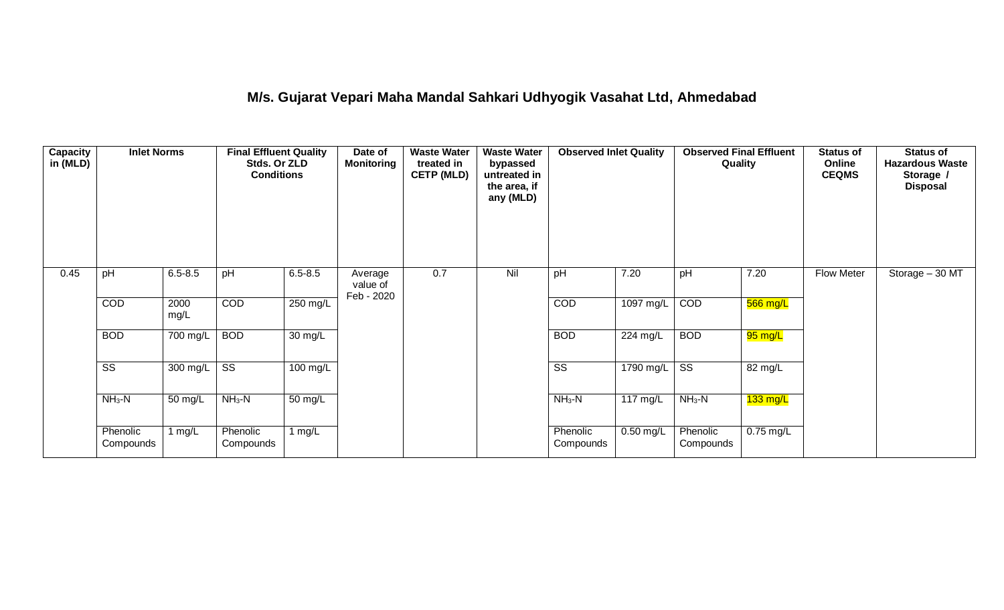## **M/s. Gujarat Vepari Maha Mandal Sahkari Udhyogik Vasahat Ltd, Ahmedabad**

| <b>Capacity</b><br>in (MLD) | <b>Inlet Norms</b>     |              | <b>Final Effluent Quality</b><br>Stds. Or ZLD<br><b>Conditions</b> |                      | Date of<br><b>Monitoring</b>      | <b>Waste Water</b><br>treated in<br><b>CETP (MLD)</b> | <b>Waste Water</b><br>bypassed<br>untreated in<br>the area, if<br>any (MLD) | <b>Observed Inlet Quality</b> |                     | <b>Observed Final Effluent</b><br>Quality |             | <b>Status of</b><br>Online<br><b>CEQMS</b> | Status of<br><b>Hazardous Waste</b><br>Storage /<br><b>Disposal</b> |
|-----------------------------|------------------------|--------------|--------------------------------------------------------------------|----------------------|-----------------------------------|-------------------------------------------------------|-----------------------------------------------------------------------------|-------------------------------|---------------------|-------------------------------------------|-------------|--------------------------------------------|---------------------------------------------------------------------|
| 0.45                        | pH                     | $6.5 - 8.5$  | pH                                                                 | $6.5 - 8.5$          | Average<br>value of<br>Feb - 2020 | 0.7                                                   | Nil                                                                         | pH                            | 7.20                | pH                                        | 7.20        | <b>Flow Meter</b>                          | Storage - 30 MT                                                     |
|                             | COD                    | 2000<br>mg/L | COD                                                                | $250 \text{ mg/L}$   |                                   |                                                       |                                                                             | COD                           | 1097 mg/L           | COD                                       | 566 mg/L    |                                            |                                                                     |
|                             | <b>BOD</b>             | 700 mg/L     | <b>BOD</b>                                                         | $\overline{30}$ mg/L |                                   |                                                       |                                                                             | <b>BOD</b>                    | 224 mg/L            | <b>BOD</b>                                | 95 mg/L     |                                            |                                                                     |
|                             | $\overline{\text{ss}}$ | 300 mg/L     | $\overline{\text{ss}}$                                             | $100 \text{ mg/L}$   |                                   |                                                       |                                                                             | $\overline{\text{ss}}$        | $1790 \text{ mg/L}$ | $\overline{\text{ss}}$                    | 82 mg/L     |                                            |                                                                     |
|                             | $NH3-N$                | 50 mg/L      | $NH3-N$                                                            | $\overline{50}$ mg/L |                                   |                                                       |                                                                             | $NH3-N$                       | 117 mg/L            | $NH3-N$                                   | $133$ mg/L  |                                            |                                                                     |
|                             | Phenolic<br>Compounds  | 1 $mg/L$     | Phenolic<br>Compounds                                              | 1 mg/L               |                                   |                                                       |                                                                             | Phenolic<br>Compounds         | $0.50$ mg/L         | Phenolic<br>Compounds                     | $0.75$ mg/L |                                            |                                                                     |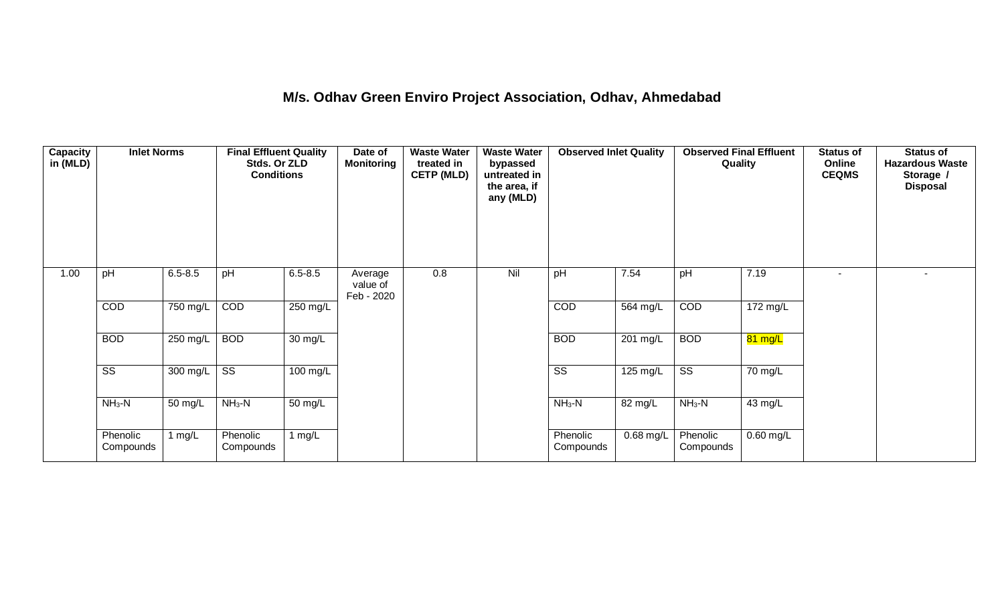## **M/s. Odhav Green Enviro Project Association, Odhav, Ahmedabad**

| <b>Capacity</b><br>in (MLD) | <b>Inlet Norms</b>     |             | <b>Final Effluent Quality</b><br>Stds. Or ZLD<br><b>Conditions</b> |                      | Date of<br><b>Monitoring</b>      | <b>Waste Water</b><br>treated in<br><b>CETP (MLD)</b> | <b>Waste Water</b><br>bypassed<br>untreated in<br>the area, if<br>any (MLD) | <b>Observed Inlet Quality</b> |                    | <b>Observed Final Effluent</b><br>Quality |             | <b>Status of</b><br>Online<br><b>CEQMS</b> | <b>Status of</b><br><b>Hazardous Waste</b><br>Storage /<br><b>Disposal</b> |
|-----------------------------|------------------------|-------------|--------------------------------------------------------------------|----------------------|-----------------------------------|-------------------------------------------------------|-----------------------------------------------------------------------------|-------------------------------|--------------------|-------------------------------------------|-------------|--------------------------------------------|----------------------------------------------------------------------------|
| 1.00                        | pH                     | $6.5 - 8.5$ | pH                                                                 | $6.5 - 8.5$          | Average<br>value of<br>Feb - 2020 | 0.8                                                   | Nil                                                                         | pH                            | 7.54               | pH                                        | 7.19        | ۰.                                         |                                                                            |
|                             | COD                    | 750 mg/L    | COD                                                                | 250 mg/L             |                                   |                                                       |                                                                             | COD                           | 564 mg/L           | COD                                       | 172 mg/L    |                                            |                                                                            |
|                             | <b>BOD</b>             | 250 mg/L    | <b>BOD</b>                                                         | $30 \text{ mg/L}$    |                                   |                                                       |                                                                             | <b>BOD</b>                    | $201 \text{ mg/L}$ | <b>BOD</b>                                | 81 mg/L     |                                            |                                                                            |
|                             | $\overline{\text{ss}}$ | 300 mg/L    | $\overline{\text{ss}}$                                             | 100 mg/L             |                                   |                                                       |                                                                             | $\overline{\text{ss}}$        | 125 mg/L           | $\overline{\text{ss}}$                    | 70 mg/L     |                                            |                                                                            |
|                             | $NH3-N$                | 50 mg/L     | $NH3-N$                                                            | $\overline{50}$ mg/L |                                   |                                                       |                                                                             | $NH3-N$                       | 82 mg/L            | $NH3-N$                                   | 43 mg/L     |                                            |                                                                            |
|                             | Phenolic<br>Compounds  | 1 $mg/L$    | Phenolic<br>Compounds                                              | 1 $mg/L$             |                                   |                                                       |                                                                             | Phenolic<br>Compounds         | $0.68$ mg/L        | Phenolic<br>Compounds                     | $0.60$ mg/L |                                            |                                                                            |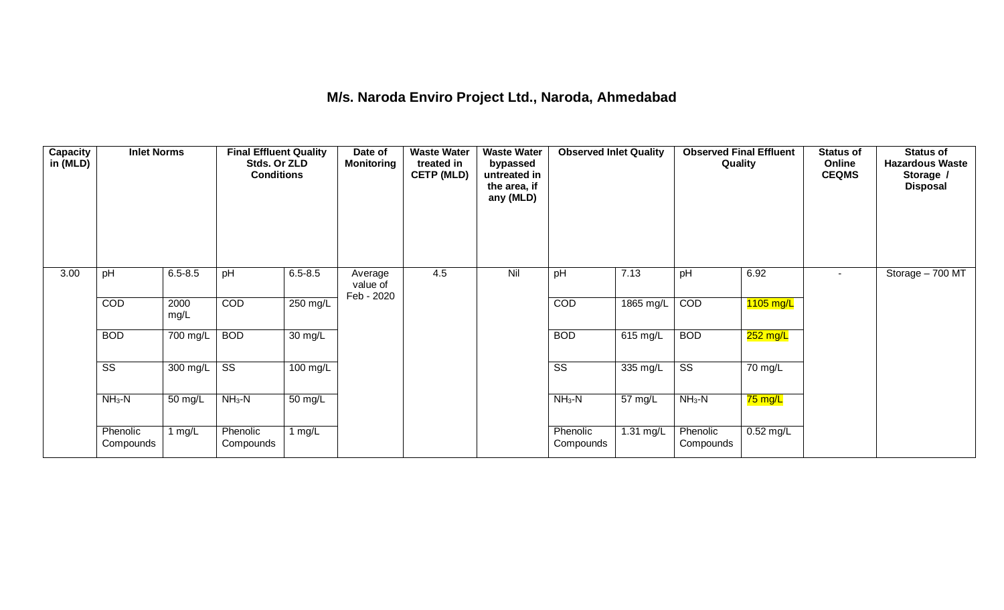### **M/s. Naroda Enviro Project Ltd., Naroda, Ahmedabad**

| <b>Capacity</b><br>in (MLD) | <b>Inlet Norms</b>     |              | <b>Final Effluent Quality</b><br>Stds. Or ZLD<br><b>Conditions</b> |                      | Date of<br><b>Monitoring</b>      | <b>Waste Water</b><br>treated in<br><b>CETP (MLD)</b> | <b>Waste Water</b><br>bypassed<br>untreated in<br>the area, if<br>any (MLD) | <b>Observed Inlet Quality</b> |             | <b>Observed Final Effluent</b><br>Quality |             | <b>Status of</b><br>Online<br><b>CEQMS</b> | <b>Status of</b><br><b>Hazardous Waste</b><br>Storage /<br><b>Disposal</b> |
|-----------------------------|------------------------|--------------|--------------------------------------------------------------------|----------------------|-----------------------------------|-------------------------------------------------------|-----------------------------------------------------------------------------|-------------------------------|-------------|-------------------------------------------|-------------|--------------------------------------------|----------------------------------------------------------------------------|
| 3.00                        | pH                     | $6.5 - 8.5$  | pH                                                                 | $6.5 - 8.5$          | Average<br>value of<br>Feb - 2020 | 4.5                                                   | Nil                                                                         | pH                            | 7.13        | pH                                        | 6.92        | ۰.                                         | Storage - 700 MT                                                           |
|                             | COD                    | 2000<br>mg/L | COD                                                                | 250 mg/L             |                                   |                                                       |                                                                             | COD                           | 1865 mg/L   | COD                                       | $1105$ mg/L |                                            |                                                                            |
|                             | <b>BOD</b>             | 700 mg/L     | <b>BOD</b>                                                         | $\overline{30}$ mg/L |                                   |                                                       |                                                                             | <b>BOD</b>                    | 615 mg/L    | <b>BOD</b>                                | 252 mg/L    |                                            |                                                                            |
|                             | $\overline{\text{ss}}$ | $300$ mg/L   | $\overline{\text{ss}}$                                             | $100 \text{ mg/L}$   |                                   |                                                       |                                                                             | $\overline{\text{ss}}$        | 335 mg/L    | $\overline{\text{ss}}$                    | 70 mg/L     |                                            |                                                                            |
|                             | $NH3-N$                | 50 mg/L      | $NH3-N$                                                            | $50 \text{ mg/L}$    |                                   |                                                       |                                                                             | $NH3-N$                       | 57 mg/L     | $NH3-N$                                   | 75 mg/L     |                                            |                                                                            |
|                             | Phenolic<br>Compounds  | 1 mg/L       | Phenolic<br>Compounds                                              | 1 mg/L               |                                   |                                                       |                                                                             | Phenolic<br>Compounds         | $1.31$ mg/L | Phenolic<br>Compounds                     | $0.52$ mg/L |                                            |                                                                            |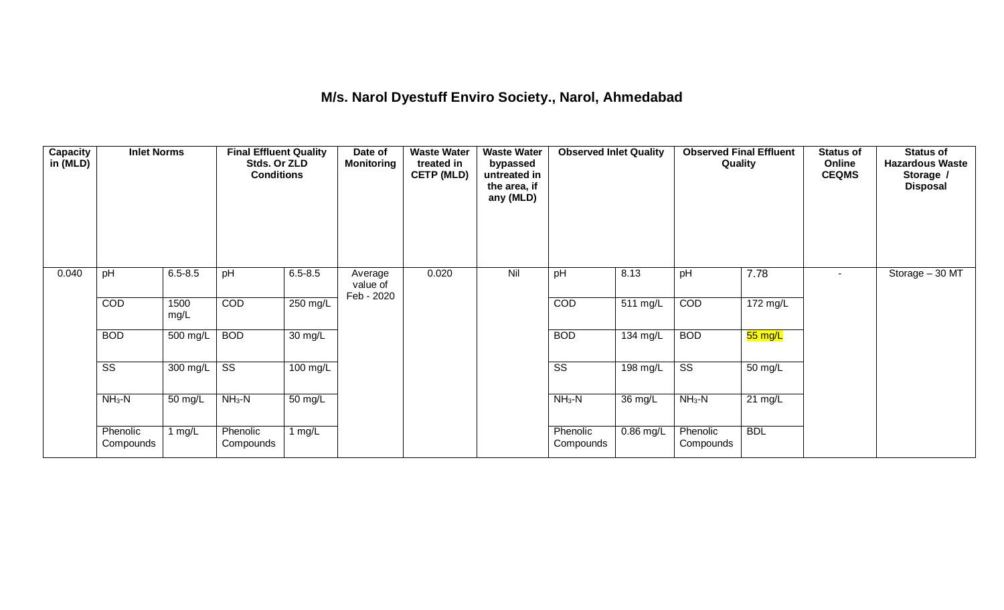## **M/s. Narol Dyestuff Enviro Society., Narol, Ahmedabad**

| <b>Capacity</b><br>in (MLD) | <b>Inlet Norms</b>     |              | <b>Final Effluent Quality</b><br>Stds. Or ZLD<br><b>Conditions</b> |                      | Date of<br><b>Monitoring</b>      | <b>Waste Water</b><br>treated in<br><b>CETP (MLD)</b> | <b>Waste Water</b><br>bypassed<br>untreated in<br>the area, if<br>any (MLD) | <b>Observed Inlet Quality</b> |             | Quality                | <b>Observed Final Effluent</b> | <b>Status of</b><br>Online<br><b>CEQMS</b> | Status of<br><b>Hazardous Waste</b><br>Storage /<br><b>Disposal</b> |
|-----------------------------|------------------------|--------------|--------------------------------------------------------------------|----------------------|-----------------------------------|-------------------------------------------------------|-----------------------------------------------------------------------------|-------------------------------|-------------|------------------------|--------------------------------|--------------------------------------------|---------------------------------------------------------------------|
| 0.040                       | pH                     | $6.5 - 8.5$  | pH                                                                 | $6.5 - 8.5$          | Average<br>value of<br>Feb - 2020 | 0.020                                                 | Nil                                                                         | pH                            | 8.13        | pH                     | 7.78                           | $\sim$                                     | Storage - 30 MT                                                     |
|                             | COD                    | 1500<br>mg/L | COD                                                                | 250 mg/L             |                                   |                                                       |                                                                             | COD                           | 511 mg/L    | COD                    | $172 \text{ mg/L}$             |                                            |                                                                     |
|                             | <b>BOD</b>             | 500 mg/L     | <b>BOD</b>                                                         | $\overline{30}$ mg/L |                                   |                                                       |                                                                             | <b>BOD</b>                    | 134 mg/L    | <b>BOD</b>             | 55 mg/L                        |                                            |                                                                     |
|                             | $\overline{\text{ss}}$ | 300 mg/L     | $\overline{\text{ss}}$                                             | 100 mg/L             |                                   |                                                       |                                                                             | $\overline{\text{ss}}$        | 198 mg/L    | $\overline{\text{ss}}$ | $\overline{50}$ mg/L           |                                            |                                                                     |
|                             | $NH3-N$                | 50 mg/L      | $NH3-N$                                                            | $\overline{50}$ mg/L |                                   |                                                       |                                                                             | $NH3-N$                       | 36 mg/L     | $NH3-N$                | $21 \text{ mg/L}$              |                                            |                                                                     |
|                             | Phenolic<br>Compounds  | 1 $mg/L$     | Phenolic<br>Compounds                                              | 1 $mg/L$             |                                   |                                                       |                                                                             | Phenolic<br>Compounds         | $0.86$ mg/L | Phenolic<br>Compounds  | <b>BDL</b>                     |                                            |                                                                     |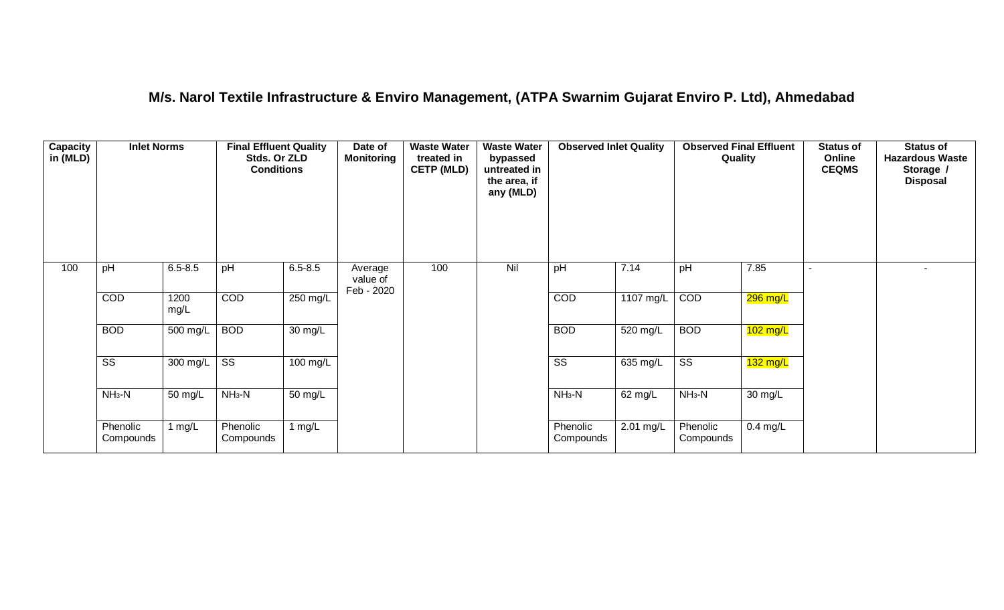## **M/s. Narol Textile Infrastructure & Enviro Management, (ATPA Swarnim Gujarat Enviro P. Ltd), Ahmedabad**

| <b>Capacity</b><br>in (MLD) | <b>Inlet Norms</b>     |              | <b>Final Effluent Quality</b><br>Stds. Or ZLD<br><b>Conditions</b> |                      | Date of<br><b>Monitoring</b>      | <b>Waste Water</b><br>treated in<br><b>CETP (MLD)</b> | <b>Waste Water</b><br>bypassed<br>untreated in<br>the area, if<br>any (MLD) | <b>Observed Inlet Quality</b> |           | <b>Observed Final Effluent</b><br>Quality |                       | <b>Status of</b><br>Online<br><b>CEQMS</b> | <b>Status of</b><br><b>Hazardous Waste</b><br>Storage /<br><b>Disposal</b> |
|-----------------------------|------------------------|--------------|--------------------------------------------------------------------|----------------------|-----------------------------------|-------------------------------------------------------|-----------------------------------------------------------------------------|-------------------------------|-----------|-------------------------------------------|-----------------------|--------------------------------------------|----------------------------------------------------------------------------|
| 100                         | pH                     | $6.5 - 8.5$  | pH                                                                 | $6.5 - 8.5$          | Average<br>value of<br>Feb - 2020 | 100                                                   | Nil                                                                         | pH                            | 7.14      | pH                                        | 7.85                  |                                            |                                                                            |
|                             | COD                    | 1200<br>mg/L | COD                                                                | 250 mg/L             |                                   |                                                       |                                                                             | COD                           | 1107 mg/L | COD                                       | <mark>296 mg/L</mark> |                                            |                                                                            |
|                             | <b>BOD</b>             | 500 mg/L     | <b>BOD</b>                                                         | $\overline{30}$ mg/L |                                   |                                                       |                                                                             | <b>BOD</b>                    | 520 mg/L  | <b>BOD</b>                                | $102 \text{ mg/L}$    |                                            |                                                                            |
|                             | $\overline{\text{SS}}$ | 300 mg/L     | $\overline{\text{ss}}$                                             | $100 \text{ mg/L}$   |                                   |                                                       |                                                                             | $\overline{\text{ss}}$        | 635 mg/L  | $\overline{\text{SS}}$                    | $132$ mg/L            |                                            |                                                                            |
|                             | $NH3-N$                | 50 mg/L      | $NH3-N$                                                            | 50 mg/L              |                                   |                                                       |                                                                             | $NH3-N$                       | 62 mg/L   | $NH3-N$                                   | 30 mg/L               |                                            |                                                                            |
|                             | Phenolic<br>Compounds  | 1 $mg/L$     | Phenolic<br>Compounds                                              | 1 mg/L               |                                   |                                                       |                                                                             | Phenolic<br>Compounds         | 2.01 mg/L | Phenolic<br>Compounds                     | $0.4$ mg/L            |                                            |                                                                            |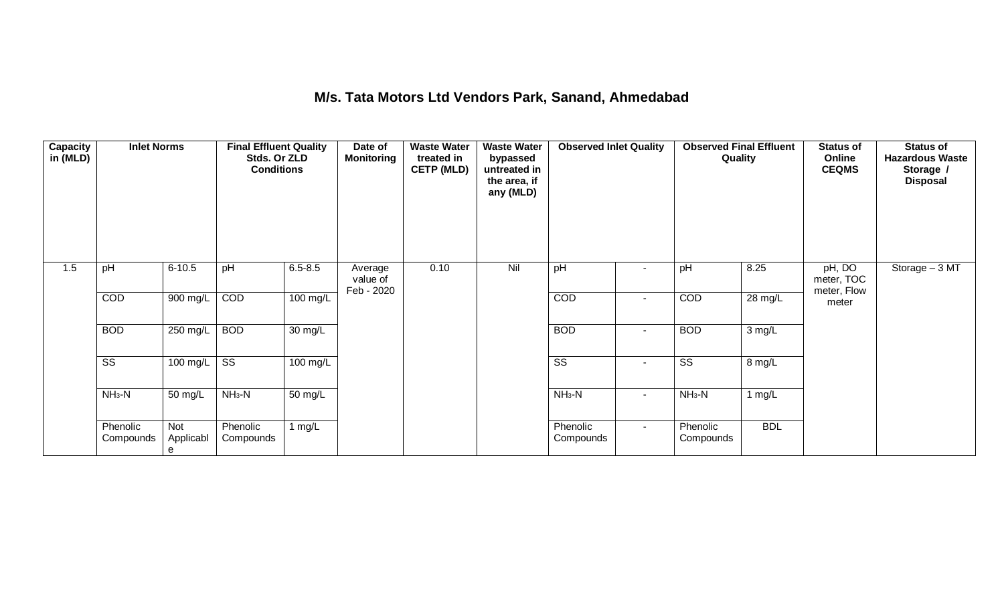# **M/s. Tata Motors Ltd Vendors Park, Sanand, Ahmedabad**

| <b>Capacity</b><br>in (MLD) | <b>Inlet Norms</b>     |                       | <b>Final Effluent Quality</b><br>Stds. Or ZLD<br><b>Conditions</b> |                    | Date of<br><b>Monitoring</b>      | <b>Waste Water</b><br>treated in<br><b>CETP (MLD)</b> | <b>Waste Water</b><br>bypassed<br>untreated in<br>the area, if<br>any (MLD) | <b>Observed Inlet Quality</b> |                | <b>Observed Final Effluent</b><br>Quality |            | <b>Status of</b><br>Online<br><b>CEQMS</b> | <b>Status of</b><br><b>Hazardous Waste</b><br>Storage /<br><b>Disposal</b> |
|-----------------------------|------------------------|-----------------------|--------------------------------------------------------------------|--------------------|-----------------------------------|-------------------------------------------------------|-----------------------------------------------------------------------------|-------------------------------|----------------|-------------------------------------------|------------|--------------------------------------------|----------------------------------------------------------------------------|
| 1.5                         | pH                     | $6 - 10.5$            | pH                                                                 | $6.5 - 8.5$        | Average<br>value of<br>Feb - 2020 | 0.10                                                  | Nil                                                                         | pH                            | $\blacksquare$ | pH                                        | 8.25       | pH, DO<br>meter, TOC<br>meter, Flow        | Storage - 3 MT                                                             |
|                             | COD                    | 900 mg/L              | $\overline{COD}$                                                   | $100 \text{ mg/L}$ |                                   |                                                       |                                                                             | COD                           | $\sim$         | COD                                       | 28 mg/L    | meter                                      |                                                                            |
|                             | <b>BOD</b>             | 250 mg/L              | <b>BOD</b>                                                         | $30 \text{ mg/L}$  |                                   |                                                       |                                                                             | <b>BOD</b>                    | $\sim$         | <b>BOD</b>                                | 3 mg/L     |                                            |                                                                            |
|                             | $\overline{\text{ss}}$ | $100 \text{ mg/L}$    | $\overline{\text{ss}}$                                             | $100$ mg/L         |                                   |                                                       |                                                                             | $\overline{\text{SS}}$        | $\sim$         | $\overline{\text{SS}}$                    | 8 mg/L     |                                            |                                                                            |
|                             | $NH3-N$                | 50 mg/L               | $NH3-N$                                                            | 50 mg/L            |                                   |                                                       |                                                                             | $NH3-N$                       | $\sim$         | $NH3-N$                                   | 1 mg/L     |                                            |                                                                            |
|                             | Phenolic<br>Compounds  | Not<br>Applicabl<br>e | Phenolic<br>Compounds                                              | 1 $mg/L$           |                                   |                                                       |                                                                             | Phenolic<br>Compounds         | $\sim$         | Phenolic<br>Compounds                     | <b>BDL</b> |                                            |                                                                            |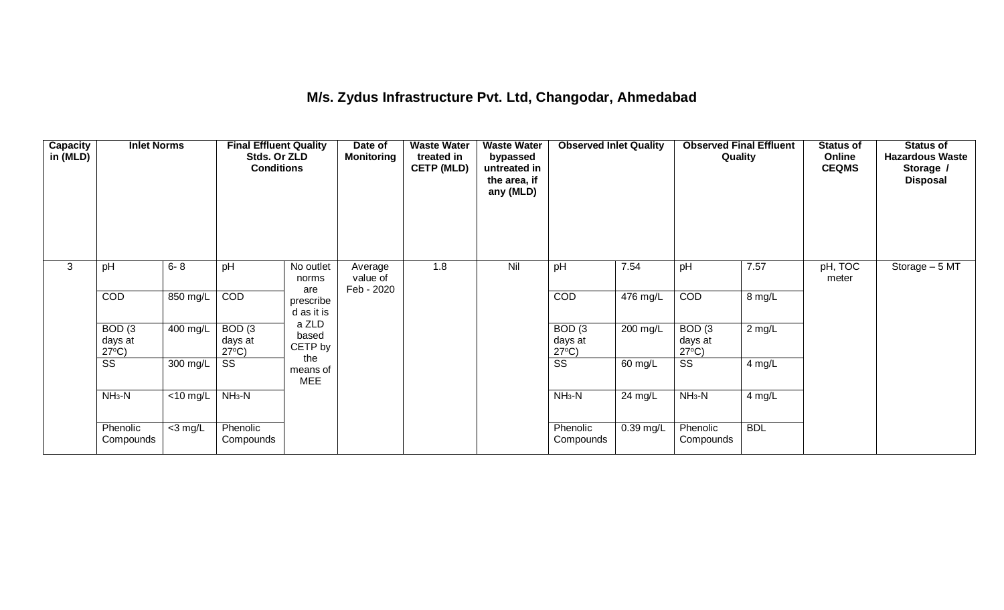## **M/s. Zydus Infrastructure Pvt. Ltd, Changodar, Ahmedabad**

| Capacity<br>in (MLD) | <b>Inlet Norms</b>                   |             | <b>Final Effluent Quality</b><br>Stds. Or ZLD<br><b>Conditions</b> |                               | Date of<br><b>Monitoring</b>      | <b>Waste Water</b><br>treated in<br><b>CETP (MLD)</b> | <b>Waste Water</b><br>bypassed<br>untreated in<br>the area, if<br>any (MLD) | <b>Observed Inlet Quality</b>        |                    | <b>Observed Final Effluent</b><br>Quality |            | <b>Status of</b><br>Online<br><b>CEQMS</b> | <b>Status of</b><br><b>Hazardous Waste</b><br>Storage /<br><b>Disposal</b> |
|----------------------|--------------------------------------|-------------|--------------------------------------------------------------------|-------------------------------|-----------------------------------|-------------------------------------------------------|-----------------------------------------------------------------------------|--------------------------------------|--------------------|-------------------------------------------|------------|--------------------------------------------|----------------------------------------------------------------------------|
| 3                    | pH                                   | $6 - 8$     | pH                                                                 | No outlet<br>norms<br>are     | Average<br>value of<br>Feb - 2020 | 1.8                                                   | Nil                                                                         | pH                                   | 7.54               | pH                                        | 7.57       | pH, TOC<br>meter                           | Storage $-5$ MT                                                            |
|                      | COD                                  | 850 mg/L    | COD                                                                | prescribe<br>d as it is       |                                   |                                                       |                                                                             | COD                                  | $476 \text{ mg/L}$ | COD                                       | 8 mg/L     |                                            |                                                                            |
|                      | BOD(3)<br>days at<br>$27^{\circ}$ C) | 400 mg/L    | BOD(3)<br>days at<br>$27^{\circ}C$ )                               | a ZLD<br>based<br>CETP by     |                                   |                                                       |                                                                             | BOD(3)<br>days at<br>$27^{\circ}C$ ) | $200$ mg/L         | BOD(3)<br>days at<br>$27^{\circ}C$ )      | $2$ mg/L   |                                            |                                                                            |
|                      | $\overline{\text{ss}}$               | 300 mg/L    | SS                                                                 | the<br>means of<br><b>MEE</b> |                                   |                                                       |                                                                             | $\overline{\text{ss}}$               | 60 mg/L            | $\overline{\text{ss}}$                    | $4$ mg/L   |                                            |                                                                            |
|                      | $NH3-N$                              | $<$ 10 mg/L | $NH3-N$                                                            |                               |                                   |                                                       |                                                                             | $NH3-N$                              | 24 mg/L            | $NH3-N$                                   | 4 mg/L     |                                            |                                                                            |
|                      | Phenolic<br>Compounds                | $<$ 3 mg/L  | Phenolic<br>Compounds                                              |                               |                                   |                                                       |                                                                             | Phenolic<br>Compounds                | $0.39$ mg/L        | Phenolic<br>Compounds                     | <b>BDL</b> |                                            |                                                                            |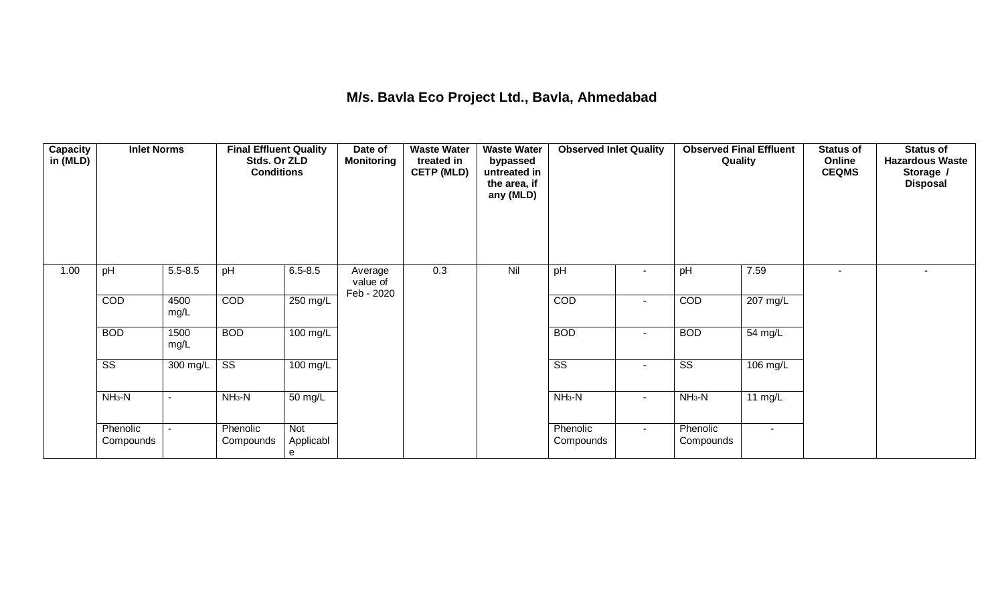### **M/s. Bavla Eco Project Ltd., Bavla, Ahmedabad**

| <b>Capacity</b><br>in (MLD) | <b>Inlet Norms</b>     |              | <b>Final Effluent Quality</b><br>Stds. Or ZLD<br><b>Conditions</b> |                       | Date of<br>Monitoring             | <b>Waste Water</b><br>treated in<br><b>CETP (MLD)</b> | <b>Waste Water</b><br>bypassed<br>untreated in<br>the area, if<br>any (MLD) | <b>Observed Inlet Quality</b> |                          | <b>Observed Final Effluent</b><br>Quality |                          | <b>Status of</b><br>Online<br><b>CEQMS</b> | <b>Status of</b><br><b>Hazardous Waste</b><br>Storage /<br><b>Disposal</b> |
|-----------------------------|------------------------|--------------|--------------------------------------------------------------------|-----------------------|-----------------------------------|-------------------------------------------------------|-----------------------------------------------------------------------------|-------------------------------|--------------------------|-------------------------------------------|--------------------------|--------------------------------------------|----------------------------------------------------------------------------|
| 1.00                        | pH                     | $5.5 - 8.5$  | pH                                                                 | $6.5 - 8.5$           | Average<br>value of<br>Feb - 2020 | 0.3                                                   | Nil                                                                         | pH                            | $\overline{\phantom{a}}$ | pH                                        | 7.59                     | $\blacksquare$                             |                                                                            |
|                             | COD                    | 4500<br>mg/L | COD                                                                | $250 \text{ mg/L}$    |                                   |                                                       |                                                                             | COD                           | $\blacksquare$           | COD                                       | 207 mg/L                 |                                            |                                                                            |
|                             | <b>BOD</b>             | 1500<br>mg/L | <b>BOD</b>                                                         | $100 \text{ mg/L}$    |                                   |                                                       |                                                                             | <b>BOD</b>                    | $\sim$                   | <b>BOD</b>                                | $\overline{54}$ mg/L     |                                            |                                                                            |
|                             | $\overline{\text{ss}}$ | 300 mg/L     | $\overline{\text{ss}}$                                             | $100$ mg/L            |                                   |                                                       |                                                                             | $\overline{\text{ss}}$        | $\blacksquare$           | $\overline{\text{ss}}$                    | 106 mg/L                 |                                            |                                                                            |
|                             | $NH3-N$                | $\sim$       | $NH3-N$                                                            | 50 mg/L               |                                   |                                                       |                                                                             | $NH3-N$                       | $\sim$                   | $NH3-N$                                   | 11 $mg/L$                |                                            |                                                                            |
|                             | Phenolic<br>Compounds  | $\sim$       | Phenolic<br>Compounds                                              | Not<br>Applicabl<br>e |                                   |                                                       |                                                                             | Phenolic<br>Compounds         | $\sim$                   | Phenolic<br>Compounds                     | $\overline{\phantom{a}}$ |                                            |                                                                            |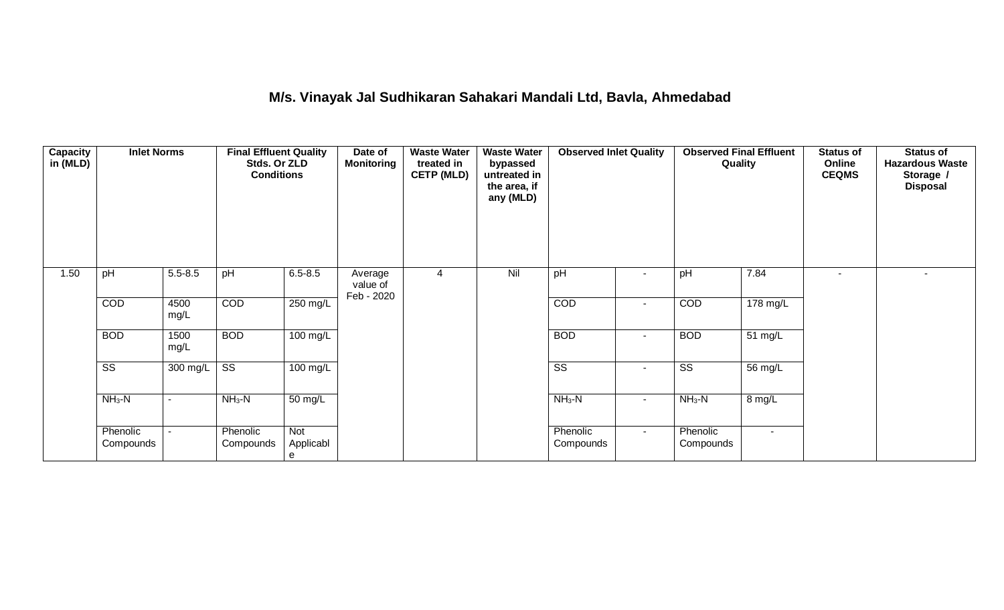# **M/s. Vinayak Jal Sudhikaran Sahakari Mandali Ltd, Bavla, Ahmedabad**

| <b>Capacity</b><br>in (MLD) | <b>Inlet Norms</b>     |                          | <b>Final Effluent Quality</b><br>Stds. Or ZLD<br><b>Conditions</b> |                       | Date of<br>Monitoring             | <b>Waste Water</b><br>treated in<br><b>CETP (MLD)</b> | <b>Waste Water</b><br>bypassed<br>untreated in<br>the area, if<br>any (MLD) | <b>Observed Inlet Quality</b> |                          | <b>Observed Final Effluent</b><br>Quality |                | Status of<br>Online<br><b>CEQMS</b> | Status of<br><b>Hazardous Waste</b><br>Storage /<br><b>Disposal</b> |
|-----------------------------|------------------------|--------------------------|--------------------------------------------------------------------|-----------------------|-----------------------------------|-------------------------------------------------------|-----------------------------------------------------------------------------|-------------------------------|--------------------------|-------------------------------------------|----------------|-------------------------------------|---------------------------------------------------------------------|
| 1.50                        | pH                     | $5.5 - 8.5$              | pH                                                                 | $6.5 - 8.5$           | Average<br>value of<br>Feb - 2020 | 4                                                     | Nil                                                                         | pH                            | $\overline{\phantom{a}}$ | pH                                        | 7.84           |                                     |                                                                     |
|                             | COD                    | 4500<br>mg/L             | COD                                                                | $250 \text{ mg/L}$    |                                   |                                                       |                                                                             | COD                           | $\blacksquare$           | COD                                       | 178 mg/L       |                                     |                                                                     |
|                             | <b>BOD</b>             | 1500<br>mg/L             | <b>BOD</b>                                                         | $100 \text{ mg/L}$    |                                   |                                                       |                                                                             | <b>BOD</b>                    | $\blacksquare$           | <b>BOD</b>                                | 51 mg/L        |                                     |                                                                     |
|                             | $\overline{\text{ss}}$ | 300 mg/L                 | $\overline{\text{ss}}$                                             | $100$ mg/L            |                                   |                                                       |                                                                             | $\overline{\text{ss}}$        | $\sim$                   | $\overline{\text{SS}}$                    | 56 mg/L        |                                     |                                                                     |
|                             | $NH3-N$                | $\overline{\phantom{a}}$ | $NH3-N$                                                            | 50 mg/L               |                                   |                                                       |                                                                             | $NH3-N$                       | $\sim$                   | $NH3-N$                                   | 8 mg/L         |                                     |                                                                     |
|                             | Phenolic<br>Compounds  | $\sim$                   | Phenolic<br>Compounds                                              | Not<br>Applicabl<br>e |                                   |                                                       |                                                                             | Phenolic<br>Compounds         | $\sim$                   | Phenolic<br>Compounds                     | $\blacksquare$ |                                     |                                                                     |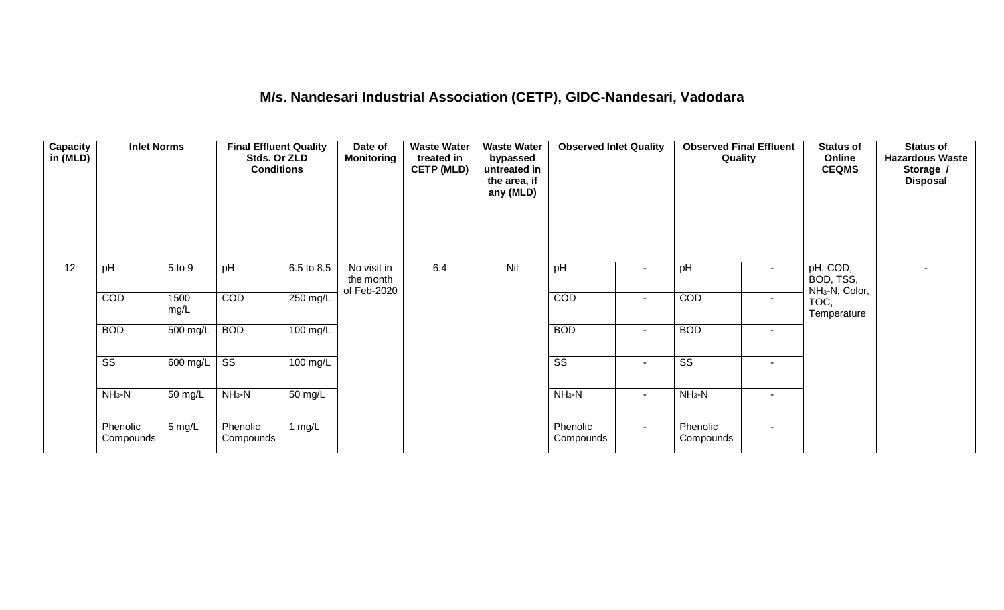## **M/s. Nandesari Industrial Association (CETP), GIDC-Nandesari, Vadodara**

| <b>Capacity</b><br>in (MLD) | <b>Inlet Norms</b>     |                  | <b>Final Effluent Quality</b><br>Stds. Or ZLD<br><b>Conditions</b> |            | Date of<br>Monitoring                   | <b>Waste Water</b><br>treated in<br><b>CETP (MLD)</b> | <b>Waste Water</b><br>bypassed<br>untreated in<br>the area, if<br>any (MLD) | <b>Observed Inlet Quality</b> |                | <b>Observed Final Effluent</b><br>Quality |        | <b>Status of</b><br>Online<br><b>CEQMS</b>          | <b>Status of</b><br><b>Hazardous Waste</b><br>Storage /<br><b>Disposal</b> |
|-----------------------------|------------------------|------------------|--------------------------------------------------------------------|------------|-----------------------------------------|-------------------------------------------------------|-----------------------------------------------------------------------------|-------------------------------|----------------|-------------------------------------------|--------|-----------------------------------------------------|----------------------------------------------------------------------------|
| $\overline{12}$             | pH                     | 5 to 9           | pH                                                                 | 6.5 to 8.5 | No visit in<br>the month<br>of Feb-2020 | 6.4                                                   | Nil                                                                         | pH                            |                | pH                                        |        | pH, COD,<br>BOD, TSS,<br>NH <sub>3</sub> -N, Color, |                                                                            |
|                             | <b>COD</b>             | 1500<br>mg/L     | COD                                                                | $250$ mg/L |                                         |                                                       |                                                                             | COD                           | $\blacksquare$ | COD                                       |        | TOC,<br>Temperature                                 |                                                                            |
|                             | <b>BOD</b>             | 500 mg/L         | <b>BOD</b>                                                         | $100$ mg/L |                                         |                                                       |                                                                             | <b>BOD</b>                    | $\blacksquare$ | <b>BOD</b>                                | $\sim$ |                                                     |                                                                            |
|                             | $\overline{\text{ss}}$ | 600 mg/L         | $\overline{\text{ss}}$                                             | $100$ mg/L |                                         |                                                       |                                                                             | $\overline{\text{ss}}$        | $\blacksquare$ | $\overline{\text{ss}}$                    | $\sim$ |                                                     |                                                                            |
|                             | $NH3-N$                | 50 mg/L          | $NH3-N$                                                            | 50 mg/L    |                                         |                                                       |                                                                             | $NH3-N$                       | $\blacksquare$ | $NH3-N$                                   |        |                                                     |                                                                            |
|                             | Phenolic<br>Compounds  | $5 \text{ mg/L}$ | Phenolic<br>Compounds                                              | 1 $mg/L$   |                                         |                                                       |                                                                             | Phenolic<br>Compounds         | $\sim$         | Phenolic<br>Compounds                     | $\sim$ |                                                     |                                                                            |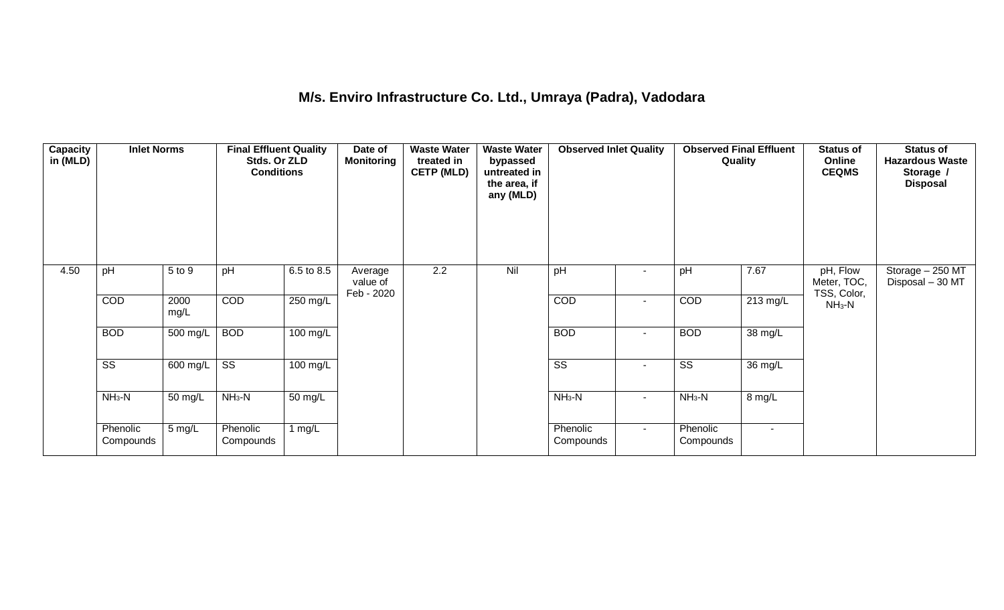## **M/s. Enviro Infrastructure Co. Ltd., Umraya (Padra), Vadodara**

| <b>Capacity</b><br>in (MLD) | <b>Inlet Norms</b>     |                  | <b>Final Effluent Quality</b><br>Stds. Or ZLD<br><b>Conditions</b> |                       | Date of<br><b>Monitoring</b>      | <b>Waste Water</b><br>treated in<br><b>CETP (MLD)</b> | <b>Waste Water</b><br>bypassed<br>untreated in<br>the area, if<br>any (MLD) | <b>Observed Inlet Quality</b> |                          | <b>Observed Final Effluent</b><br>Quality |                      | <b>Status of</b><br>Online<br><b>CEQMS</b> | <b>Status of</b><br><b>Hazardous Waste</b><br>Storage /<br><b>Disposal</b> |
|-----------------------------|------------------------|------------------|--------------------------------------------------------------------|-----------------------|-----------------------------------|-------------------------------------------------------|-----------------------------------------------------------------------------|-------------------------------|--------------------------|-------------------------------------------|----------------------|--------------------------------------------|----------------------------------------------------------------------------|
| 4.50                        | pH                     | 5 to 9           | pH                                                                 | $6.5 \text{ to } 8.5$ | Average<br>value of<br>Feb - 2020 | $\overline{2.2}$                                      | Nil                                                                         | pH                            |                          | pH                                        | 7.67                 | pH, Flow<br>Meter, TOC,<br>TSS, Color,     | Storage - 250 MT<br>Disposal - 30 MT                                       |
|                             | COD                    | 2000<br>mg/L     | COD                                                                | 250 mg/L              |                                   |                                                       |                                                                             | COD                           | $\overline{\phantom{a}}$ | COD                                       | $213$ mg/L           | $NH3-N$                                    |                                                                            |
|                             | <b>BOD</b>             | $500$ mg/L       | <b>BOD</b>                                                         | $100 \text{ mg/L}$    |                                   |                                                       |                                                                             | <b>BOD</b>                    | $\sim$                   | <b>BOD</b>                                | $\overline{38}$ mg/L |                                            |                                                                            |
|                             | $\overline{\text{ss}}$ | 600 mg/L         | $\overline{\text{ss}}$                                             | $\overline{100}$ mg/L |                                   |                                                       |                                                                             | $\overline{\text{ss}}$        | $\sim$                   | $\overline{\text{ss}}$                    | $\overline{36}$ mg/L |                                            |                                                                            |
|                             | $NH3-N$                | 50 mg/L          | $NH3-N$                                                            | 50 mg/L               |                                   |                                                       |                                                                             | $NH3-N$                       | $\blacksquare$           | $NH3-N$                                   | 8 mg/L               |                                            |                                                                            |
|                             | Phenolic<br>Compounds  | $5 \text{ mg/L}$ | Phenolic<br>Compounds                                              | 1 $mg/L$              |                                   |                                                       |                                                                             | Phenolic<br>Compounds         | $\sim$                   | Phenolic<br>Compounds                     | $\sim$               |                                            |                                                                            |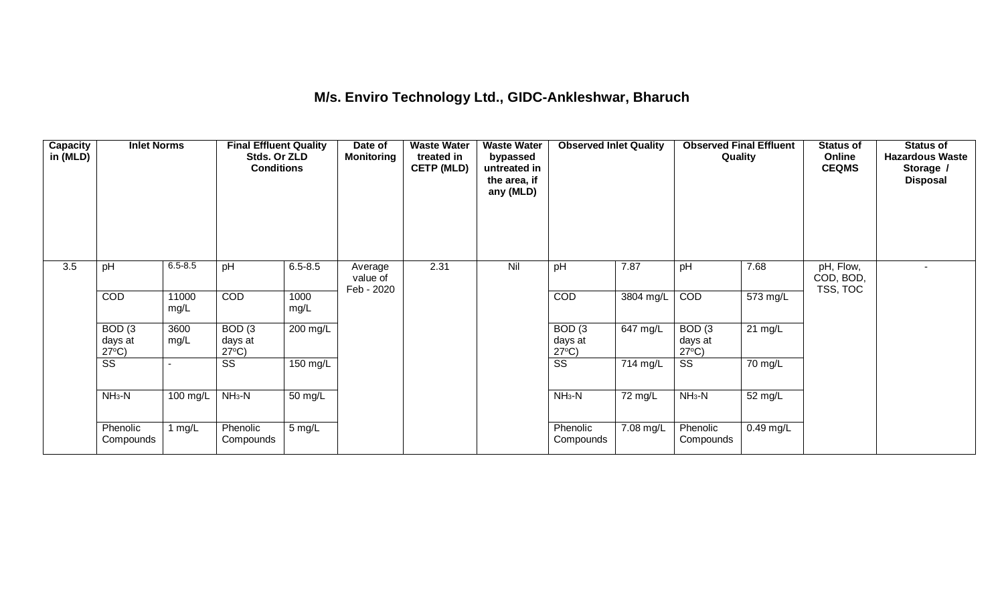## **M/s. Enviro Technology Ltd., GIDC-Ankleshwar, Bharuch**

| <b>Capacity</b><br>in (MLD) | <b>Inlet Norms</b>                   |               | <b>Final Effluent Quality</b><br>Stds. Or ZLD<br><b>Conditions</b> |                      | Date of<br><b>Monitoring</b>      | <b>Waste Water</b><br>treated in<br><b>CETP (MLD)</b> | <b>Waste Water</b><br>bypassed<br>untreated in<br>the area, if<br>any (MLD) | <b>Observed Inlet Quality</b>        |            | <b>Observed Final Effluent</b><br>Quality |                   | <b>Status of</b><br>Online<br><b>CEQMS</b> | <b>Status of</b><br><b>Hazardous Waste</b><br>Storage /<br><b>Disposal</b> |
|-----------------------------|--------------------------------------|---------------|--------------------------------------------------------------------|----------------------|-----------------------------------|-------------------------------------------------------|-----------------------------------------------------------------------------|--------------------------------------|------------|-------------------------------------------|-------------------|--------------------------------------------|----------------------------------------------------------------------------|
| 3.5                         | pH                                   | $6.5 - 8.5$   | pH                                                                 | $6.5 - 8.5$          | Average<br>value of<br>Feb - 2020 | 2.31                                                  | Nil                                                                         | pH                                   | 7.87       | pH                                        | 7.68              | pH, Flow,<br>COD, BOD,<br>TSS, TOC         |                                                                            |
|                             | COD                                  | 11000<br>mg/L | <b>COD</b>                                                         | 1000<br>mg/L         |                                   |                                                       |                                                                             | COD                                  | 3804 mg/L  | COD                                       | 573 mg/L          |                                            |                                                                            |
|                             | BOD(3)<br>days at<br>$27^{\circ}C$ ) | 3600<br>mg/L  | BOD(3)<br>days at<br>$27^{\circ}C$ )                               | 200 mg/L             |                                   |                                                       |                                                                             | BOD(3)<br>days at<br>$27^{\circ}C$ ) | $647$ mg/L | BOD(3)<br>days at<br>$27^{\circ}C$ )      | $21 \text{ mg/L}$ |                                            |                                                                            |
|                             | $\overline{\text{ss}}$               |               | $\overline{\text{SS}}$                                             | 150 mg/L             |                                   |                                                       |                                                                             | $\overline{\text{SS}}$               | 714 mg/L   | $\overline{\text{ss}}$                    | 70 mg/L           |                                            |                                                                            |
|                             | $NH3-N$                              | 100 mg/L      | $NH3-N$                                                            | $\overline{50}$ mg/L |                                   |                                                       |                                                                             | $NH3-N$                              | 72 mg/L    | $NH3-N$                                   | 52 mg/L           |                                            |                                                                            |
|                             | Phenolic<br>Compounds                | 1 mg/L        | Phenolic<br>Compounds                                              | 5 mg/L               |                                   |                                                       |                                                                             | Phenolic<br>Compounds                | 7.08 mg/L  | Phenolic<br>Compounds                     | $0.49$ mg/L       |                                            |                                                                            |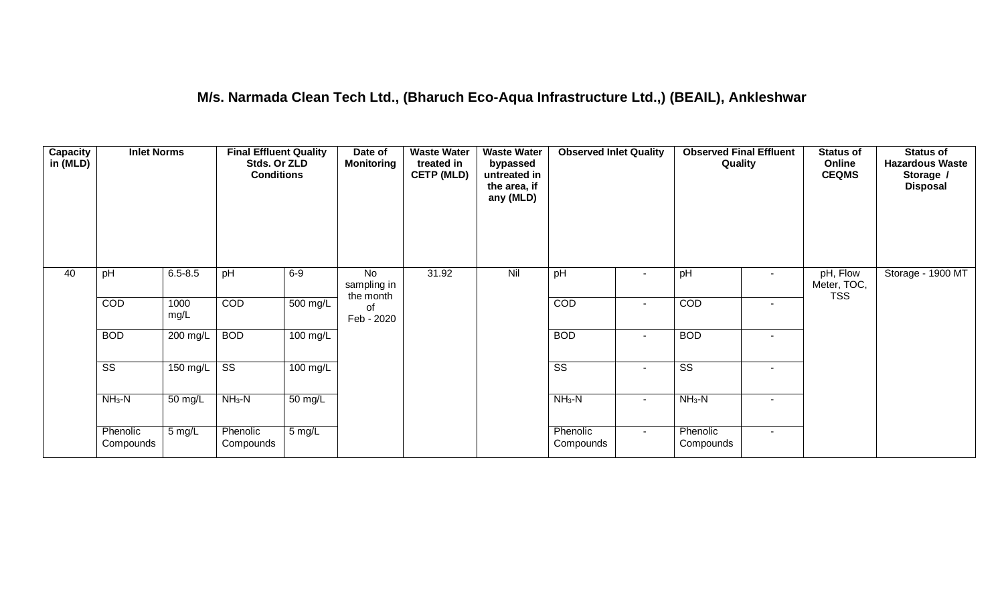### **M/s. Narmada Clean Tech Ltd., (Bharuch Eco-Aqua Infrastructure Ltd.,) (BEAIL), Ankleshwar**

| <b>Capacity</b><br>in (MLD) | <b>Inlet Norms</b>     |                  | <b>Final Effluent Quality</b><br>Stds. Or ZLD<br><b>Conditions</b> |                      | Date of<br><b>Monitoring</b>   | <b>Waste Water</b><br>treated in<br><b>CETP (MLD)</b> | <b>Waste Water</b><br>bypassed<br>untreated in<br>the area, if<br>any (MLD) | <b>Observed Inlet Quality</b> |                          | <b>Observed Final Effluent</b><br>Quality |        | <b>Status of</b><br>Online<br><b>CEQMS</b> | <b>Status of</b><br><b>Hazardous Waste</b><br>Storage /<br><b>Disposal</b> |
|-----------------------------|------------------------|------------------|--------------------------------------------------------------------|----------------------|--------------------------------|-------------------------------------------------------|-----------------------------------------------------------------------------|-------------------------------|--------------------------|-------------------------------------------|--------|--------------------------------------------|----------------------------------------------------------------------------|
| 40                          | pH                     | $6.5 - 8.5$      | pH                                                                 | $6-9$                | No<br>sampling in<br>the month | 31.92                                                 | Nil                                                                         | pH                            | $\blacksquare$           | pH                                        | $\sim$ | pH, Flow<br>Meter, TOC,<br><b>TSS</b>      | Storage - 1900 MT                                                          |
|                             | COD                    | 1000<br>mg/L     | COD                                                                | $500 \text{ mg/L}$   | of<br>Feb - 2020               |                                                       |                                                                             | COD                           | $\blacksquare$           | COD                                       | $\sim$ |                                            |                                                                            |
|                             | <b>BOD</b>             | 200 mg/L         | <b>BOD</b>                                                         | $100 \text{ mg/L}$   |                                |                                                       |                                                                             | <b>BOD</b>                    | $\blacksquare$           | <b>BOD</b>                                | $\sim$ |                                            |                                                                            |
|                             | $\overline{\text{ss}}$ | $150$ mg/L       | $\overline{\text{ss}}$                                             | $100 \text{ mg/L}$   |                                |                                                       |                                                                             | $\overline{\text{ss}}$        | $\overline{\phantom{a}}$ | $\overline{\text{ss}}$                    | $\sim$ |                                            |                                                                            |
|                             | $NH3-N$                | 50 mg/L          | $NH3-N$                                                            | $\overline{50}$ mg/L |                                |                                                       |                                                                             | $NH3-N$                       | $\blacksquare$           | $NH3-N$                                   | $\sim$ |                                            |                                                                            |
|                             | Phenolic<br>Compounds  | $5 \text{ mg/L}$ | Phenolic<br>Compounds                                              | 5 mg/L               |                                |                                                       |                                                                             | Phenolic<br>Compounds         | $\sim$                   | Phenolic<br>Compounds                     | $\sim$ |                                            |                                                                            |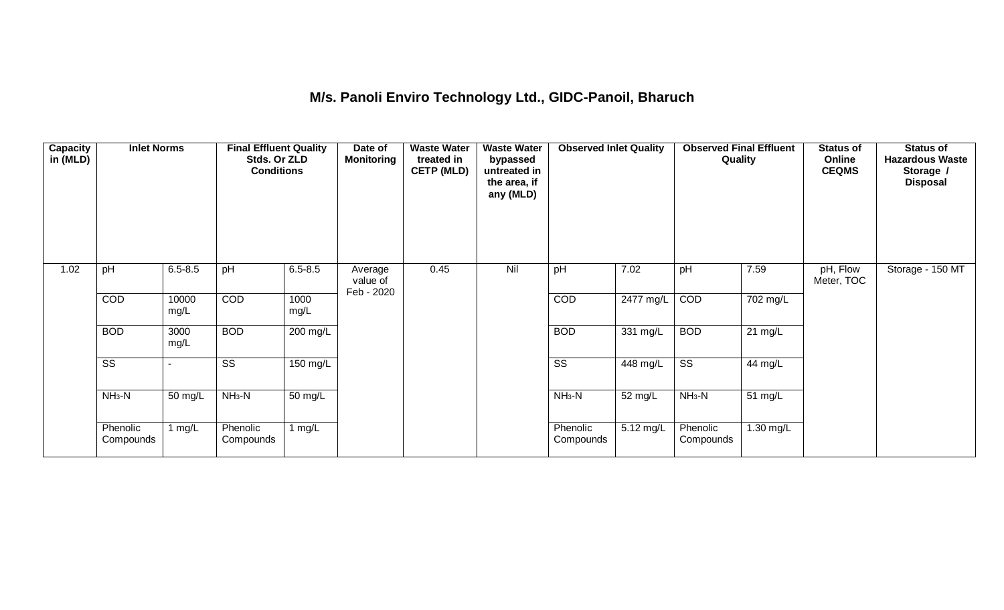## **M/s. Panoli Enviro Technology Ltd., GIDC-Panoil, Bharuch**

| <b>Capacity</b><br>in (MLD) | <b>Inlet Norms</b>     |               | <b>Final Effluent Quality</b><br>Stds. Or ZLD<br><b>Conditions</b> |                      | Date of<br><b>Monitoring</b>      | <b>Waste Water</b><br>treated in<br><b>CETP (MLD)</b> | <b>Waste Water</b><br>bypassed<br>untreated in<br>the area, if<br>any (MLD) | <b>Observed Inlet Quality</b> |                       | <b>Observed Final Effluent</b><br>Quality |                       | <b>Status of</b><br>Online<br><b>CEQMS</b> | <b>Status of</b><br><b>Hazardous Waste</b><br>Storage /<br><b>Disposal</b> |
|-----------------------------|------------------------|---------------|--------------------------------------------------------------------|----------------------|-----------------------------------|-------------------------------------------------------|-----------------------------------------------------------------------------|-------------------------------|-----------------------|-------------------------------------------|-----------------------|--------------------------------------------|----------------------------------------------------------------------------|
| 1.02                        | pH                     | $6.5 - 8.5$   | pH                                                                 | $6.5 - 8.5$          | Average<br>value of<br>Feb - 2020 | 0.45                                                  | Nil                                                                         | pH                            | 7.02                  | pH                                        | 7.59                  | pH, Flow<br>Meter, TOC                     | Storage - 150 MT                                                           |
|                             | COD                    | 10000<br>mg/L | COD                                                                | 1000<br>mg/L         |                                   |                                                       |                                                                             | <b>COD</b>                    | 2477 mg/L             | COD                                       | $\overline{70}2$ mg/L |                                            |                                                                            |
|                             | <b>BOD</b>             | 3000<br>mg/L  | <b>BOD</b>                                                         | 200 mg/L             |                                   |                                                       |                                                                             | <b>BOD</b>                    | $331$ mg/L            | <b>BOD</b>                                | $21 \text{ mg/L}$     |                                            |                                                                            |
|                             | $\overline{\text{SS}}$ |               | $\overline{\text{SS}}$                                             | $150$ mg/L           |                                   |                                                       |                                                                             | $\overline{\text{SS}}$        | $\overline{448}$ mg/L | $\overline{\text{ss}}$                    | 44 mg/L               |                                            |                                                                            |
|                             | $NH3-N$                | 50 mg/L       | $NH3-N$                                                            | 50 mg/L              |                                   |                                                       |                                                                             | $NH3-N$                       | 52 mg/L               | $NH3-N$                                   | 51 $mg/L$             |                                            |                                                                            |
|                             | Phenolic<br>Compounds  | 1 mg/L        | Phenolic<br>Compounds                                              | 1 mg/ $\overline{L}$ |                                   |                                                       |                                                                             | Phenolic<br>Compounds         | $5.12 \text{ mg/L}$   | Phenolic<br>Compounds                     | 1.30 mg/L             |                                            |                                                                            |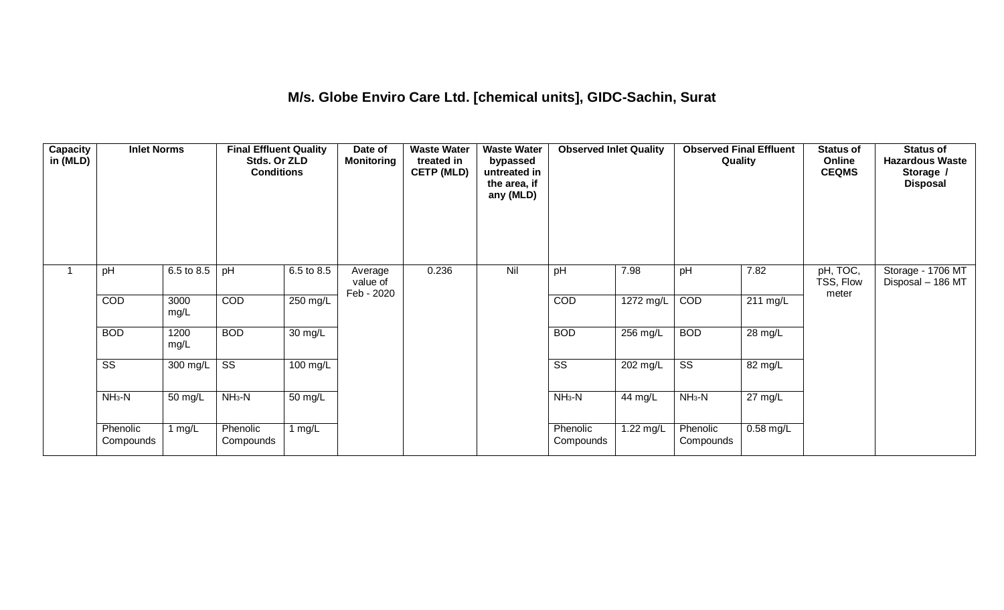## **M/s. Globe Enviro Care Ltd. [chemical units], GIDC-Sachin, Surat**

| Capacity<br>in (MLD) | <b>Inlet Norms</b>     |                       | <b>Final Effluent Quality</b><br>Stds. Or ZLD<br><b>Conditions</b> |                   | Date of<br><b>Monitoring</b>      | <b>Waste Water</b><br>treated in<br><b>CETP (MLD)</b> | <b>Waste Water</b><br>bypassed<br>untreated in<br>the area, if<br>any (MLD) | <b>Observed Inlet Quality</b> |                    | <b>Observed Final Effluent</b><br>Quality |                      | <b>Status of</b><br>Online<br><b>CEQMS</b> | <b>Status of</b><br><b>Hazardous Waste</b><br>Storage /<br><b>Disposal</b> |
|----------------------|------------------------|-----------------------|--------------------------------------------------------------------|-------------------|-----------------------------------|-------------------------------------------------------|-----------------------------------------------------------------------------|-------------------------------|--------------------|-------------------------------------------|----------------------|--------------------------------------------|----------------------------------------------------------------------------|
|                      | pH                     | 6.5 to 8.5            | pH                                                                 | 6.5 to 8.5        | Average<br>value of<br>Feb - 2020 | 0.236                                                 | Nil                                                                         | pH                            | 7.98               | pH                                        | 7.82                 | pH, TOC,<br>TSS, Flow<br>meter             | Storage - 1706 MT<br>Disposal - 186 MT                                     |
|                      | COD                    | 3000<br>mg/L          | COD                                                                | 250 mg/L          |                                   |                                                       |                                                                             | COD                           | 1272 mg/L          | COD                                       | 211 mg/L             |                                            |                                                                            |
|                      | <b>BOD</b>             | 1200<br>mg/L          | <b>BOD</b>                                                         | $30 \text{ mg/L}$ |                                   |                                                       |                                                                             | <b>BOD</b>                    | $256 \text{ mg/L}$ | <b>BOD</b>                                | 28 mg/L              |                                            |                                                                            |
|                      | $\overline{\text{ss}}$ | $\overline{300}$ mg/L | $\overline{\text{ss}}$                                             | $100$ mg/L        |                                   |                                                       |                                                                             | $\overline{\text{ss}}$        | 202 mg/L           | $\overline{\text{ss}}$                    | 82 mg/L              |                                            |                                                                            |
|                      | $NH3-N$                | 50 mg/L               | $NH3-N$                                                            | 50 mg/L           |                                   |                                                       |                                                                             | $NH3-N$                       | 44 mg/L            | $NH3-N$                                   | $\overline{27}$ mg/L |                                            |                                                                            |
|                      | Phenolic<br>Compounds  | 1 mg/L                | Phenolic<br>Compounds                                              | 1 mg/L            |                                   |                                                       |                                                                             | Phenolic<br>Compounds         | 1.22 mg/L          | Phenolic<br>Compounds                     | $0.58$ mg/L          |                                            |                                                                            |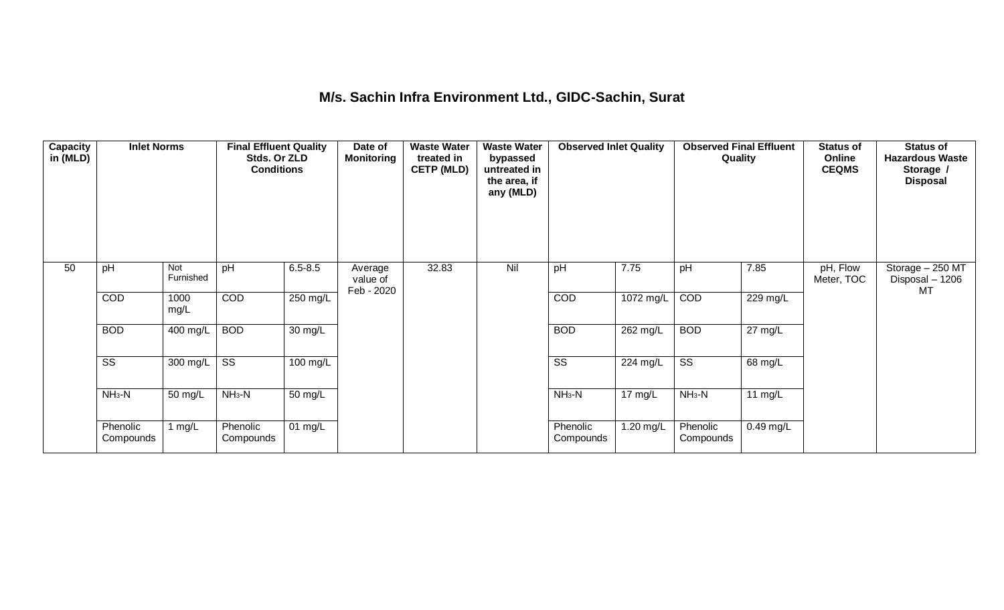## **M/s. Sachin Infra Environment Ltd., GIDC-Sachin, Surat**

| Capacity<br>in (MLD) | <b>Inlet Norms</b>     |                  | <b>Final Effluent Quality</b><br>Stds. Or ZLD<br><b>Conditions</b> |                   | Date of<br><b>Monitoring</b>      | <b>Waste Water</b><br>treated in<br><b>CETP (MLD)</b> | <b>Waste Water</b><br>bypassed<br>untreated in<br>the area, if<br>any (MLD) | <b>Observed Inlet Quality</b> |                   | <b>Observed Final Effluent</b><br>Quality |                   | <b>Status of</b><br>Online<br><b>CEQMS</b> | Status of<br><b>Hazardous Waste</b><br>Storage /<br><b>Disposal</b> |
|----------------------|------------------------|------------------|--------------------------------------------------------------------|-------------------|-----------------------------------|-------------------------------------------------------|-----------------------------------------------------------------------------|-------------------------------|-------------------|-------------------------------------------|-------------------|--------------------------------------------|---------------------------------------------------------------------|
| 50                   | pH                     | Not<br>Furnished | pH                                                                 | $6.5 - 8.5$       | Average<br>value of<br>Feb - 2020 | 32.83                                                 | Nil                                                                         | pH                            | 7.75              | pH                                        | 7.85              | pH, Flow<br>Meter, TOC                     | Storage - 250 MT<br>Disposal - 1206<br>MT                           |
|                      | COD                    | 1000<br>mg/L     | COD                                                                | $250$ mg/L        |                                   |                                                       |                                                                             | COD                           | 1072 mg/L         | COD                                       | 229 mg/L          |                                            |                                                                     |
|                      | <b>BOD</b>             | 400 mg/L         | <b>BOD</b>                                                         | 30 mg/L           |                                   |                                                       |                                                                             | <b>BOD</b>                    | 262 mg/L          | <b>BOD</b>                                | $27 \text{ mg/L}$ |                                            |                                                                     |
|                      | $\overline{\text{ss}}$ | 300 mg/L         | $\overline{\text{SS}}$                                             | 100 mg/L          |                                   |                                                       |                                                                             | $\overline{\text{ss}}$        | 224 mg/L          | $\overline{\text{ss}}$                    | 68 mg/L           |                                            |                                                                     |
|                      | $NH3-N$                | 50 mg/L          | $NH3-N$                                                            | 50 mg/L           |                                   |                                                       |                                                                             | $NH3-N$                       | $17 \text{ mg/L}$ | $NH3-N$                                   | 11 $mg/L$         |                                            |                                                                     |
|                      | Phenolic<br>Compounds  | 1 $mg/L$         | Phenolic<br>Compounds                                              | $01 \text{ mg/L}$ |                                   |                                                       |                                                                             | Phenolic<br>Compounds         | 1.20 mg/L         | Phenolic<br>Compounds                     | $0.49$ mg/L       |                                            |                                                                     |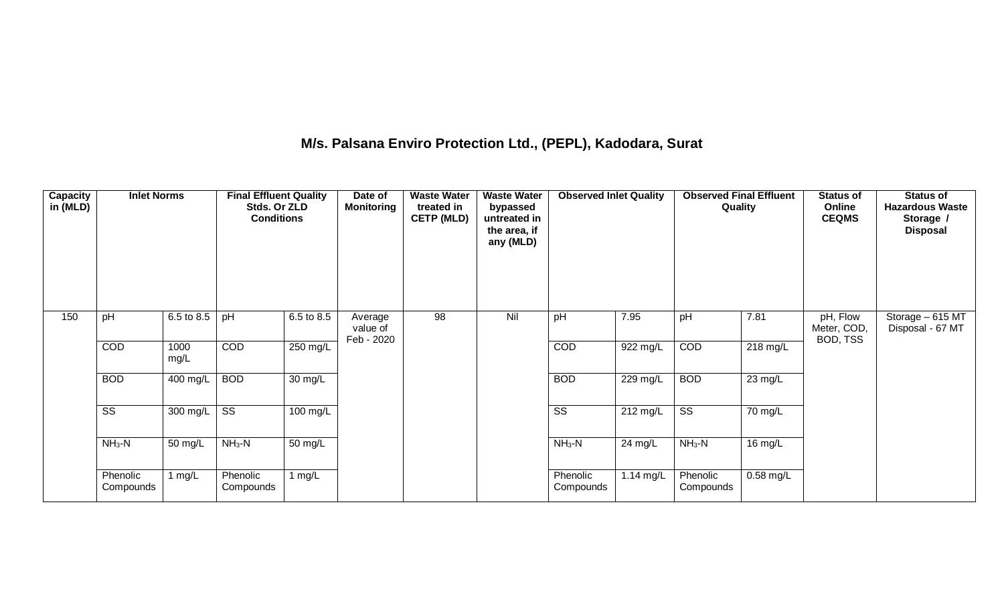## **M/s. Palsana Enviro Protection Ltd., (PEPL), Kadodara, Surat**

| Capacity<br>in (MLD) | <b>Inlet Norms</b>     |              | <b>Final Effluent Quality</b><br>Stds. Or ZLD<br><b>Conditions</b> |            | Date of<br><b>Monitoring</b>      | <b>Waste Water</b><br>treated in<br><b>CETP (MLD)</b> | <b>Waste Water</b><br>bypassed<br>untreated in<br>the area, if<br>any (MLD) | <b>Observed Inlet Quality</b> |                       | <b>Observed Final Effluent</b><br>Quality |                      | <b>Status of</b><br>Online<br><b>CEQMS</b> | <b>Status of</b><br><b>Hazardous Waste</b><br>Storage /<br><b>Disposal</b> |
|----------------------|------------------------|--------------|--------------------------------------------------------------------|------------|-----------------------------------|-------------------------------------------------------|-----------------------------------------------------------------------------|-------------------------------|-----------------------|-------------------------------------------|----------------------|--------------------------------------------|----------------------------------------------------------------------------|
| 150                  | pH                     | 6.5 to 8.5   | pH                                                                 | 6.5 to 8.5 | Average<br>value of<br>Feb - 2020 | 98                                                    | Nil                                                                         | pH                            | 7.95                  | pH                                        | 7.81                 | pH, Flow<br>Meter, COD,<br>BOD, TSS        | Storage - 615 MT<br>Disposal - 67 MT                                       |
|                      | COD                    | 1000<br>mg/L | COD                                                                | 250 mg/L   |                                   |                                                       |                                                                             | COD                           | 922 mg/L              | COD                                       | $218$ mg/L           |                                            |                                                                            |
|                      | <b>BOD</b>             | 400 mg/L     | <b>BOD</b>                                                         | 30 mg/L    |                                   |                                                       |                                                                             | <b>BOD</b>                    | $\overline{229}$ mg/L | <b>BOD</b>                                | $\overline{23}$ mg/L |                                            |                                                                            |
|                      | $\overline{\text{SS}}$ | 300 mg/L     | $\overline{\text{SS}}$                                             | 100 mg/L   |                                   |                                                       |                                                                             | $\overline{\text{ss}}$        | 212 mg/L              | $\overline{\text{SS}}$                    | 70 mg/L              |                                            |                                                                            |
|                      | $NH3-N$                | 50 mg/L      | $NH3-N$                                                            | 50 mg/L    |                                   |                                                       |                                                                             | $NH3-N$                       | 24 mg/L               | $NH_3-N$                                  | 16 mg/L              |                                            |                                                                            |
|                      | Phenolic<br>Compounds  | 1 $mg/L$     | Phenolic<br>Compounds                                              | 1 $mg/L$   |                                   |                                                       |                                                                             | Phenolic<br>Compounds         | 1.14 mg/L             | Phenolic<br>Compounds                     | $0.58$ mg/L          |                                            |                                                                            |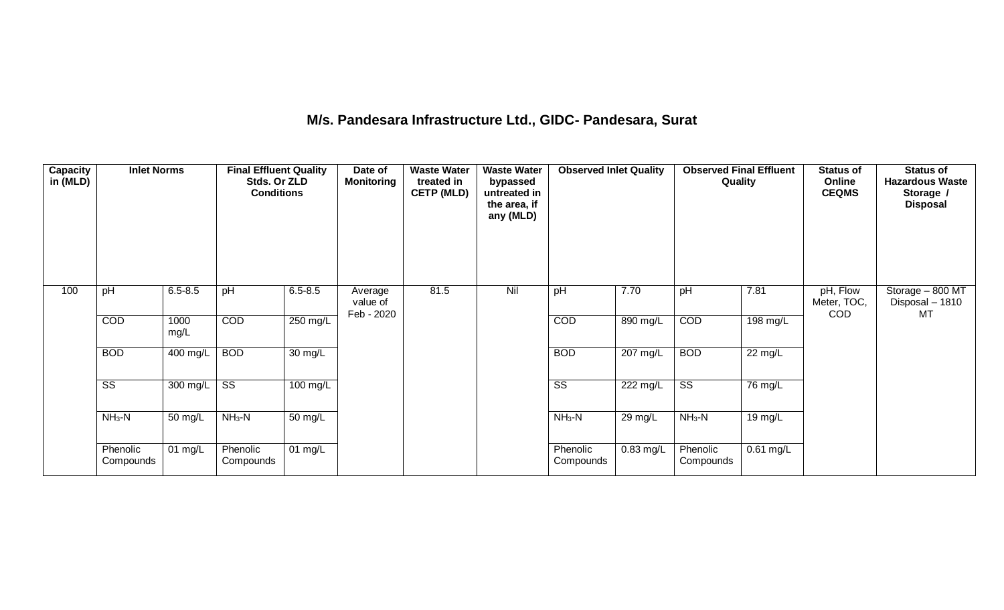### **M/s. Pandesara Infrastructure Ltd., GIDC- Pandesara, Surat**

| <b>Capacity</b><br>in (MLD) | <b>Inlet Norms</b>     |              | <b>Final Effluent Quality</b><br>Stds. Or ZLD<br><b>Conditions</b> |                   | Date of<br><b>Monitoring</b>      | <b>Waste Water</b><br>treated in<br><b>CETP (MLD)</b> | <b>Waste Water</b><br>bypassed<br>untreated in<br>the area, if<br>any (MLD) | <b>Observed Inlet Quality</b> |                    | <b>Observed Final Effluent</b><br>Quality |                      | <b>Status of</b><br>Online<br><b>CEQMS</b> | Status of<br><b>Hazardous Waste</b><br>Storage /<br><b>Disposal</b> |
|-----------------------------|------------------------|--------------|--------------------------------------------------------------------|-------------------|-----------------------------------|-------------------------------------------------------|-----------------------------------------------------------------------------|-------------------------------|--------------------|-------------------------------------------|----------------------|--------------------------------------------|---------------------------------------------------------------------|
| 100                         | pH                     | $6.5 - 8.5$  | pH                                                                 | $6.5 - 8.5$       | Average<br>value of<br>Feb - 2020 | 81.5                                                  | Nil                                                                         | pH                            | 7.70               | pH                                        | 7.81                 | pH, Flow<br>Meter, TOC,<br><b>COD</b>      | Storage - 800 MT<br>Disposal - 1810<br>MT                           |
|                             | COD                    | 1000<br>mg/L | COD                                                                | 250 mg/L          |                                   |                                                       |                                                                             | COD                           | 890 mg/L           | COD                                       | 198 mg/L             |                                            |                                                                     |
|                             | <b>BOD</b>             | 400 mg/L     | <b>BOD</b>                                                         | 30 mg/L           |                                   |                                                       |                                                                             | <b>BOD</b>                    | $207 \text{ mg/L}$ | <b>BOD</b>                                | $22 \text{ mg/L}$    |                                            |                                                                     |
|                             | $\overline{\text{SS}}$ | 300 mg/L     | $\overline{\text{SS}}$                                             | 100 mg/L          |                                   |                                                       |                                                                             | $\overline{\text{SS}}$        | 222 mg/L           | $\overline{\text{ss}}$                    | $\overline{76}$ mg/L |                                            |                                                                     |
|                             | $NH3-N$                | 50 mg/L      | $NH3-N$                                                            | $50 \text{ mg/L}$ |                                   |                                                       |                                                                             | $NH3-N$                       | 29 mg/L            | $NH3-N$                                   | 19 mg/L              |                                            |                                                                     |
|                             | Phenolic<br>Compounds  | 01 mg/L      | Phenolic<br>Compounds                                              | $01 \text{ mg/L}$ |                                   |                                                       |                                                                             | Phenolic<br>Compounds         | $0.83$ mg/L        | Phenolic<br>Compounds                     | $0.61$ mg/L          |                                            |                                                                     |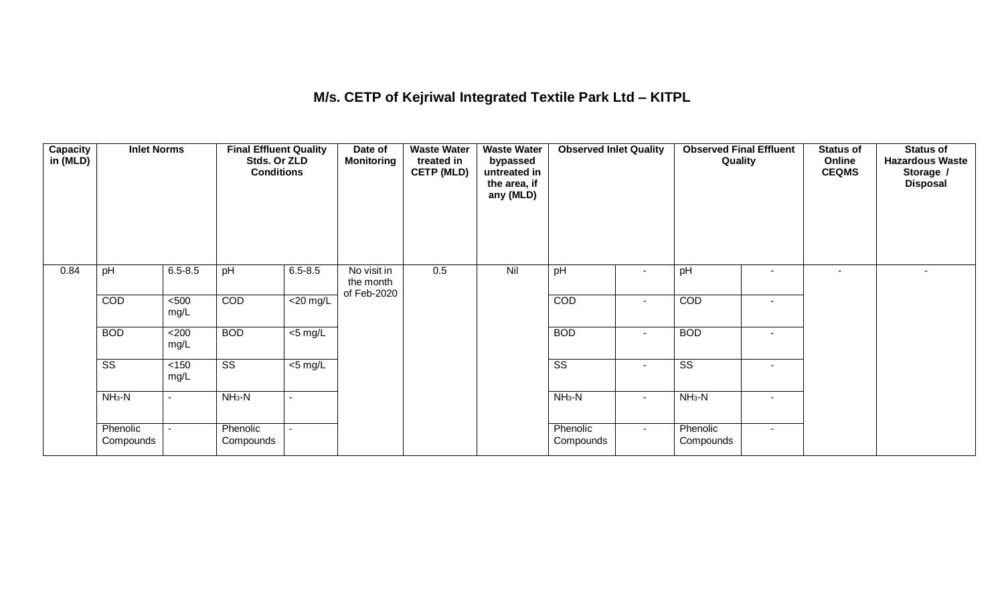## **M/s. CETP of Kejriwal Integrated Textile Park Ltd – KITPL**

| <b>Capacity</b><br>in (MLD) | <b>Inlet Norms</b>     |               | <b>Final Effluent Quality</b><br>Stds. Or ZLD<br><b>Conditions</b> |                          | Date of<br><b>Monitoring</b>            | <b>Waste Water</b><br>treated in<br><b>CETP (MLD)</b> | <b>Waste Water</b><br>bypassed<br>untreated in<br>the area, if<br>any (MLD) | <b>Observed Inlet Quality</b> |                          | <b>Observed Final Effluent</b><br>Quality |                          | <b>Status of</b><br>Online<br><b>CEQMS</b> | <b>Status of</b><br><b>Hazardous Waste</b><br>Storage /<br><b>Disposal</b> |
|-----------------------------|------------------------|---------------|--------------------------------------------------------------------|--------------------------|-----------------------------------------|-------------------------------------------------------|-----------------------------------------------------------------------------|-------------------------------|--------------------------|-------------------------------------------|--------------------------|--------------------------------------------|----------------------------------------------------------------------------|
| 0.84                        | pH                     | $6.5 - 8.5$   | pH                                                                 | $6.5 - 8.5$              | No visit in<br>the month<br>of Feb-2020 | 0.5                                                   | Nil                                                                         | pH                            | $\blacksquare$           | pH                                        |                          | $\blacksquare$                             |                                                                            |
|                             | COD                    | < 500<br>mg/L | COD                                                                | $\overline{20}$ mg/L     |                                         |                                                       |                                                                             | COD                           | $\blacksquare$           | COD                                       | ٠                        |                                            |                                                                            |
|                             | <b>BOD</b>             | <200<br>mg/L  | <b>BOD</b>                                                         | $\overline{\leq 5}$ mg/L |                                         |                                                       |                                                                             | <b>BOD</b>                    | $\blacksquare$           | <b>BOD</b>                                | $\sim$                   |                                            |                                                                            |
|                             | $\overline{\text{ss}}$ | < 150<br>mg/L | $\overline{\text{ss}}$                                             | $<$ 5 mg/L               |                                         |                                                       |                                                                             | $\overline{\text{ss}}$        | $\overline{\phantom{a}}$ | $\overline{\text{ss}}$                    | $\overline{\phantom{a}}$ |                                            |                                                                            |
|                             | $NH3-N$                | $\sim$        | $NH3-N$                                                            | $\sim$                   |                                         |                                                       |                                                                             | $NH3-N$                       | $\blacksquare$           | $NH3-N$                                   | $\overline{\phantom{a}}$ |                                            |                                                                            |
|                             | Phenolic<br>Compounds  |               | Phenolic<br>Compounds                                              | $\sim$                   |                                         |                                                       |                                                                             | Phenolic<br>Compounds         | $\sim$                   | Phenolic<br>Compounds                     | $\sim$                   |                                            |                                                                            |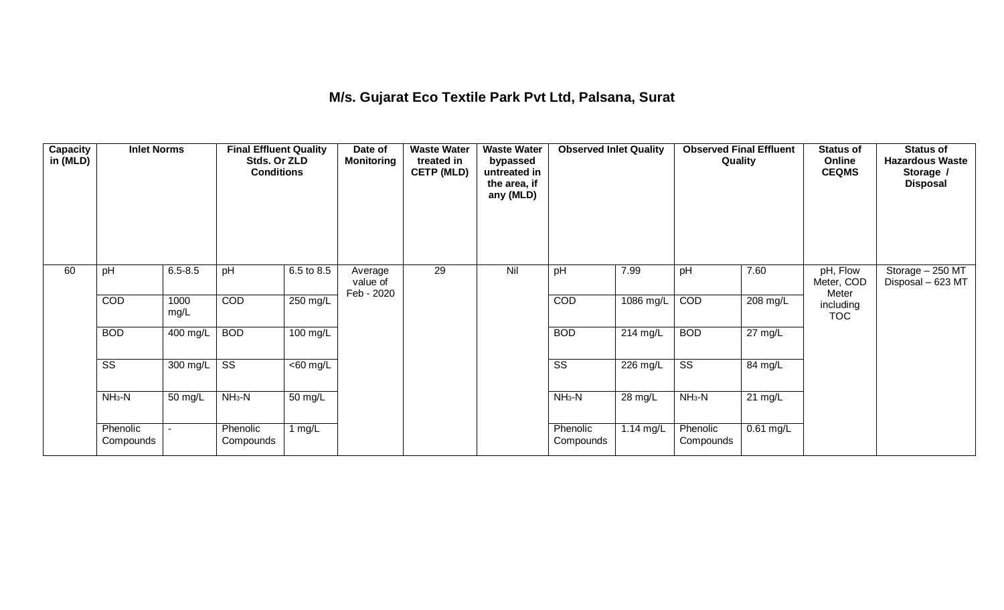## **M/s. Gujarat Eco Textile Park Pvt Ltd, Palsana, Surat**

| <b>Capacity</b><br>in (MLD) | <b>Inlet Norms</b>     |                       | <b>Final Effluent Quality</b><br>Stds. Or ZLD<br><b>Conditions</b> |                      | Date of<br><b>Monitoring</b>      | <b>Waste Water</b><br>treated in<br><b>CETP (MLD)</b> | <b>Waste Water</b><br>bypassed<br>untreated in<br>the area, if<br>any (MLD) | <b>Observed Inlet Quality</b> |             | <b>Observed Final Effluent</b><br>Quality |             | <b>Status of</b><br>Online<br><b>CEQMS</b> | <b>Status of</b><br><b>Hazardous Waste</b><br>Storage /<br><b>Disposal</b> |
|-----------------------------|------------------------|-----------------------|--------------------------------------------------------------------|----------------------|-----------------------------------|-------------------------------------------------------|-----------------------------------------------------------------------------|-------------------------------|-------------|-------------------------------------------|-------------|--------------------------------------------|----------------------------------------------------------------------------|
| 60                          | pH                     | $6.5 - 8.5$           | pH                                                                 | 6.5 to 8.5           | Average<br>value of<br>Feb - 2020 | 29                                                    | Nil                                                                         | pH                            | 7.99        | pH                                        | 7.60        | pH, Flow<br>Meter, COD<br>Meter            | Storage - 250 MT<br>Disposal - 623 MT                                      |
|                             | COD                    | 1000<br>mg/L          | COD                                                                | 250 mg/L             |                                   |                                                       |                                                                             | COD                           | 1086 mg/L   | COD                                       | 208 mg/L    | including<br><b>TOC</b>                    |                                                                            |
|                             | <b>BOD</b>             | $\overline{400}$ mg/L | <b>BOD</b>                                                         | $100 \text{ mg/L}$   |                                   |                                                       |                                                                             | <b>BOD</b>                    | $214$ mg/L  | <b>BOD</b>                                | 27 mg/L     |                                            |                                                                            |
|                             | $\overline{\text{ss}}$ | $\overline{300}$ mg/L | $\overline{\text{SS}}$                                             | $\overline{60}$ mg/L |                                   |                                                       |                                                                             | $\overline{\text{ss}}$        | 226 mg/L    | $\overline{\text{SS}}$                    | 84 mg/L     |                                            |                                                                            |
|                             | $NH3-N$                | 50 mg/L               | $NH3-N$                                                            | $\overline{50}$ mg/L |                                   |                                                       |                                                                             | $NH3-N$                       | 28 mg/L     | $NH3-N$                                   | $21$ mg/L   |                                            |                                                                            |
|                             | Phenolic<br>Compounds  |                       | Phenolic<br>Compounds                                              | 1 $mg/L$             |                                   |                                                       |                                                                             | Phenolic<br>Compounds         | 1.14 $mg/L$ | Phenolic<br>Compounds                     | $0.61$ mg/L |                                            |                                                                            |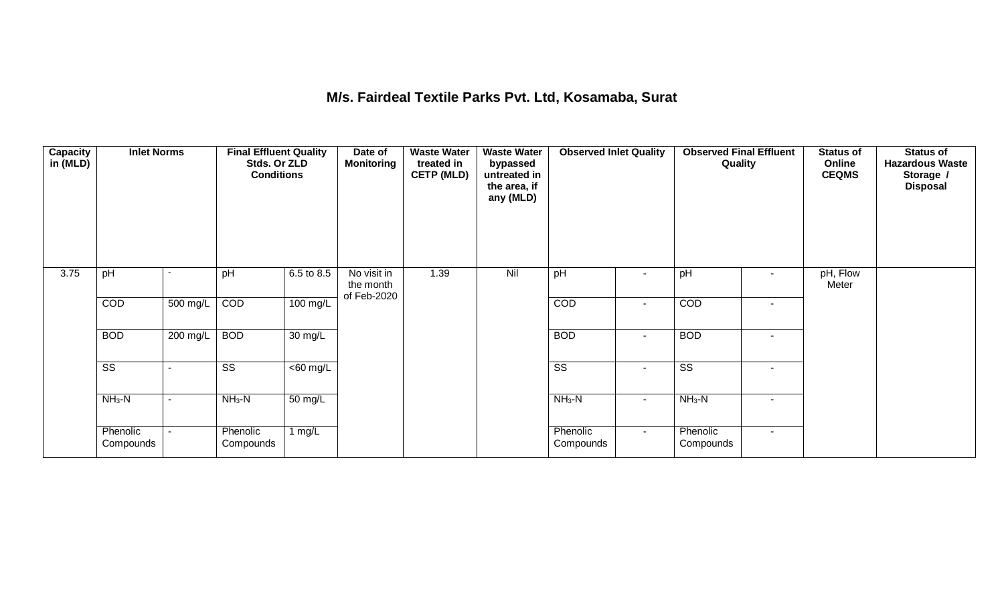## **M/s. Fairdeal Textile Parks Pvt. Ltd, Kosamaba, Surat**

| <b>Capacity</b><br>in (MLD) | <b>Inlet Norms</b>     |                          | <b>Final Effluent Quality</b><br>Stds. Or ZLD<br><b>Conditions</b> |                      | Date of<br><b>Monitoring</b>            | <b>Waste Water</b><br>treated in<br><b>CETP (MLD)</b> | <b>Waste Water</b><br>bypassed<br>untreated in<br>the area, if<br>any (MLD) | <b>Observed Inlet Quality</b> |                          | <b>Observed Final Effluent</b><br>Quality |                          | <b>Status of</b><br>Online<br><b>CEQMS</b> | <b>Status of</b><br><b>Hazardous Waste</b><br>Storage /<br><b>Disposal</b> |
|-----------------------------|------------------------|--------------------------|--------------------------------------------------------------------|----------------------|-----------------------------------------|-------------------------------------------------------|-----------------------------------------------------------------------------|-------------------------------|--------------------------|-------------------------------------------|--------------------------|--------------------------------------------|----------------------------------------------------------------------------|
| 3.75                        | pH                     |                          | pH                                                                 | 6.5 to 8.5           | No visit in<br>the month<br>of Feb-2020 | 1.39                                                  | Nil                                                                         | pH                            | $\overline{\phantom{a}}$ | pH                                        | $\overline{\phantom{a}}$ | pH, Flow<br>Meter                          |                                                                            |
|                             | COD                    | 500 mg/L                 | COD                                                                | 100 mg/L             |                                         |                                                       |                                                                             | COD                           | $\overline{\phantom{a}}$ | COD                                       | $\sim$                   |                                            |                                                                            |
|                             | <b>BOD</b>             | 200 mg/L                 | <b>BOD</b>                                                         | $\overline{30}$ mg/L |                                         |                                                       |                                                                             | <b>BOD</b>                    | $\blacksquare$           | <b>BOD</b>                                | $\sim$                   |                                            |                                                                            |
|                             | $\overline{\text{ss}}$ | $\overline{\phantom{0}}$ | $\overline{\text{ss}}$                                             | $<$ 60 mg/L          |                                         |                                                       |                                                                             | $\overline{\text{ss}}$        | $\blacksquare$           | $\overline{\text{ss}}$                    | $\sim$                   |                                            |                                                                            |
|                             | $NH3-N$                | $\blacksquare$           | $NH3-N$                                                            | $50 \text{ mg/L}$    |                                         |                                                       |                                                                             | $NH3-N$                       | $\sim$                   | $NH3-N$                                   | $\sim$                   |                                            |                                                                            |
|                             | Phenolic<br>Compounds  |                          | Phenolic<br>Compounds                                              | 1 $mg/L$             |                                         |                                                       |                                                                             | Phenolic<br>Compounds         | $\sim$                   | Phenolic<br>Compounds                     | $\sim$                   |                                            |                                                                            |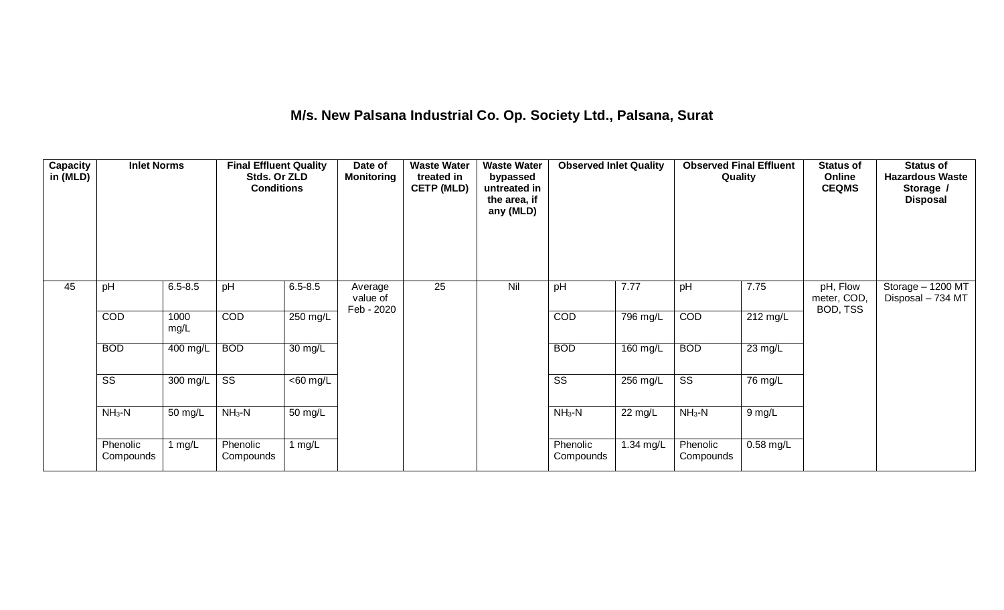## **M/s. New Palsana Industrial Co. Op. Society Ltd., Palsana, Surat**

| <b>Capacity</b><br>in (MLD) | <b>Inlet Norms</b>     |                       | <b>Final Effluent Quality</b><br>Stds. Or ZLD<br><b>Conditions</b> |                      | Date of<br><b>Monitoring</b>      | <b>Waste Water</b><br>treated in<br><b>CETP (MLD)</b> | <b>Waste Water</b><br>bypassed<br>untreated in<br>the area, if<br>any (MLD) | <b>Observed Inlet Quality</b> |            | Quality                | <b>Observed Final Effluent</b> | <b>Status of</b><br>Online<br><b>CEQMS</b> | <b>Status of</b><br><b>Hazardous Waste</b><br>Storage /<br><b>Disposal</b> |
|-----------------------------|------------------------|-----------------------|--------------------------------------------------------------------|----------------------|-----------------------------------|-------------------------------------------------------|-----------------------------------------------------------------------------|-------------------------------|------------|------------------------|--------------------------------|--------------------------------------------|----------------------------------------------------------------------------|
| 45                          | pH                     | $6.5 - 8.5$           | pH                                                                 | $6.5 - 8.5$          | Average<br>value of<br>Feb - 2020 | $\overline{25}$                                       | Nil                                                                         | pH                            | 7.77       | pH                     | 7.75                           | pH, Flow<br>meter, COD,<br>BOD, TSS        | Storage - 1200 MT<br>Disposal - 734 MT                                     |
|                             | COD                    | 1000<br>mg/L          | COD                                                                | $250$ mg/L           |                                   |                                                       |                                                                             | COD                           | 796 mg/L   | COD                    | 212 mg/L                       |                                            |                                                                            |
|                             | <b>BOD</b>             | $\overline{400}$ mg/L | <b>BOD</b>                                                         | $\overline{30}$ mg/L |                                   |                                                       |                                                                             | <b>BOD</b>                    | $160$ mg/L | <b>BOD</b>             | $23$ mg/L                      |                                            |                                                                            |
|                             | $\overline{\text{SS}}$ | 300 mg/L              | $\overline{\text{SS}}$                                             | $<$ 60 mg/L          |                                   |                                                       |                                                                             | $\overline{\text{SS}}$        | $256$ mg/L | $\overline{\text{ss}}$ | 76 mg/L                        |                                            |                                                                            |
|                             | $NH3-N$                | 50 mg/L               | $NH3-N$                                                            | 50 mg/L              |                                   |                                                       |                                                                             | $NH3-N$                       | 22 mg/L    | $NH3-N$                | $9$ mg/L                       |                                            |                                                                            |
|                             | Phenolic<br>Compounds  | 1 $mg/L$              | Phenolic<br>Compounds                                              | 1 $mg/L$             |                                   |                                                       |                                                                             | Phenolic<br>Compounds         | 1.34 mg/L  | Phenolic<br>Compounds  | $0.58$ mg/L                    |                                            |                                                                            |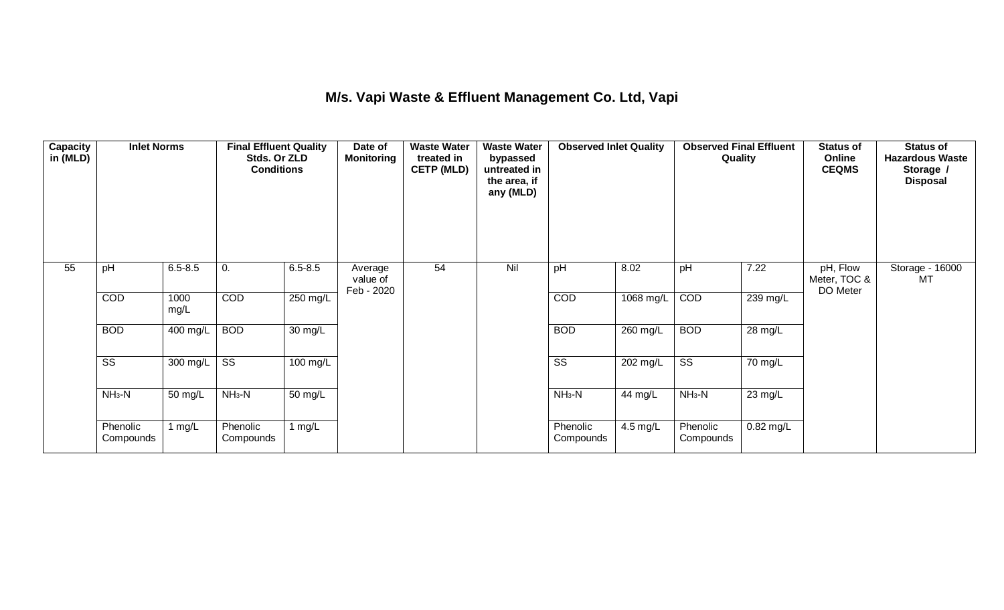## **M/s. Vapi Waste & Effluent Management Co. Ltd, Vapi**

| <b>Capacity</b><br>in (MLD) | <b>Inlet Norms</b>     | Stds. Or ZLD<br><b>Conditions</b><br>$6.5 - 8.5$<br>pH<br>$6.5 - 8.5$<br>0. |                        | <b>Final Effluent Quality</b> | Date of<br><b>Monitoring</b>      | <b>Waste Water</b><br>treated in<br><b>CETP (MLD)</b> | <b>Waste Water</b><br>bypassed<br>untreated in<br>the area, if<br>any (MLD) | <b>Observed Inlet Quality</b> |                       | <b>Observed Final Effluent</b><br>Quality |           | <b>Status of</b><br>Online<br><b>CEQMS</b> | <b>Status of</b><br><b>Hazardous Waste</b><br>Storage /<br><b>Disposal</b> |
|-----------------------------|------------------------|-----------------------------------------------------------------------------|------------------------|-------------------------------|-----------------------------------|-------------------------------------------------------|-----------------------------------------------------------------------------|-------------------------------|-----------------------|-------------------------------------------|-----------|--------------------------------------------|----------------------------------------------------------------------------|
| 55                          |                        |                                                                             |                        |                               | Average<br>value of<br>Feb - 2020 | 54                                                    | Nil                                                                         | pH                            | 8.02                  | pH                                        | 7.22      | pH, Flow<br>Meter, TOC &<br>DO Meter       | Storage - 16000<br>MT                                                      |
|                             | COD                    | 1000<br>mg/L                                                                | <b>COD</b>             | 250 mg/L                      |                                   |                                                       |                                                                             | COD                           | 1068 mg/L             | COD                                       | 239 mg/L  |                                            |                                                                            |
|                             | <b>BOD</b>             | 400 mg/L                                                                    | <b>BOD</b>             | $\overline{30}$ mg/L          |                                   |                                                       |                                                                             | <b>BOD</b>                    | $260$ mg/L            | <b>BOD</b>                                | 28 mg/L   |                                            |                                                                            |
|                             | $\overline{\text{ss}}$ | 300 mg/L                                                                    | $\overline{\text{SS}}$ | $100$ mg/L                    |                                   |                                                       |                                                                             | $\overline{\text{ss}}$        | 202 mg/L              | $\overline{\text{SS}}$                    | 70 mg/L   |                                            |                                                                            |
|                             | $NH3-N$                | 50 mg/L                                                                     | $NH3-N$                | $\overline{50}$ mg/L          |                                   |                                                       |                                                                             | $NH3-N$                       | 44 mg/L               | $NH_3-N$                                  | 23 mg/L   |                                            |                                                                            |
|                             | Phenolic<br>Compounds  | 1 $mg/L$                                                                    | Phenolic<br>Compounds  | 1 $mg/L$                      |                                   |                                                       |                                                                             | Phenolic<br>Compounds         | $\overline{4.5}$ mg/L | Phenolic<br>Compounds                     | 0.82 mg/L |                                            |                                                                            |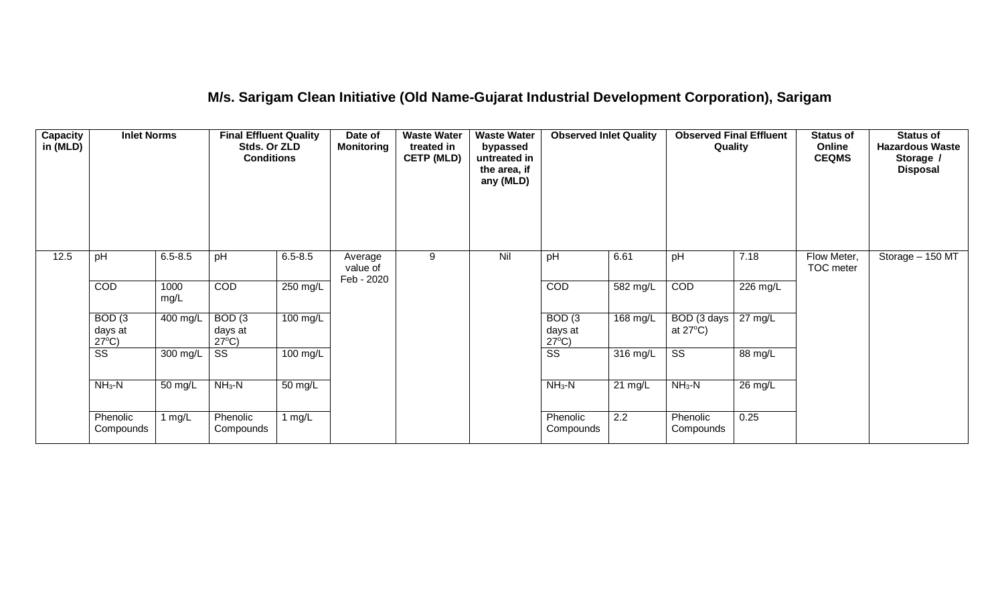### **M/s. Sarigam Clean Initiative (Old Name-Gujarat Industrial Development Corporation), Sarigam**

| Capacity<br>in (MLD) | <b>Inlet Norms</b><br>$6.5 - 8.5$<br>pH         |                       | <b>Final Effluent Quality</b><br>Stds. Or ZLD<br><b>Conditions</b> |             | Date of<br><b>Monitoring</b>      | <b>Waste Water</b><br>treated in<br><b>CETP (MLD)</b> | <b>Waste Water</b><br>bypassed<br>untreated in<br>the area, if<br>any (MLD) | <b>Observed Inlet Quality</b>        |                    | Quality                           |                       | <b>Status of</b><br>Online<br><b>CEQMS</b> | <b>Status of</b><br><b>Hazardous Waste</b><br>Storage /<br><b>Disposal</b> |
|----------------------|-------------------------------------------------|-----------------------|--------------------------------------------------------------------|-------------|-----------------------------------|-------------------------------------------------------|-----------------------------------------------------------------------------|--------------------------------------|--------------------|-----------------------------------|-----------------------|--------------------------------------------|----------------------------------------------------------------------------|
| 12.5                 |                                                 |                       | pH                                                                 | $6.5 - 8.5$ | Average<br>value of<br>Feb - 2020 | 9                                                     | Nil                                                                         | pH                                   | 6.61               | pH                                | 7.18                  | Flow Meter,<br>TOC meter                   | Storage - 150 MT                                                           |
|                      | COD                                             | 1000<br>mg/L          | COD                                                                | 250 mg/L    |                                   |                                                       |                                                                             | COD                                  | $582 \text{ mg/L}$ | COD                               | $\overline{226}$ mg/L |                                            |                                                                            |
|                      | BOD <sub>(3</sub><br>days at<br>$27^{\circ}C$ ) | $\overline{400}$ mg/L | BOD(3)<br>days at<br>$27^{\circ}C$ )                               | $100$ mg/L  |                                   |                                                       |                                                                             | BOD(3)<br>days at<br>$27^{\circ}C$ ) | 168 mg/L           | BOD (3 days<br>at $27^{\circ}$ C) | $27 \text{ mg/L}$     |                                            |                                                                            |
|                      | $\overline{\text{ss}}$                          | 300 mg/L              | $\overline{\text{SS}}$                                             | 100 mg/L    |                                   |                                                       |                                                                             | $\overline{\text{SS}}$               | 316 mg/L           | $\overline{\text{ss}}$            | 88 mg/L               |                                            |                                                                            |
|                      | $NH3-N$                                         | 50 mg/L               | $NH3-N$                                                            | 50 mg/L     |                                   |                                                       |                                                                             | $NH3-N$                              | $21 \text{ mg/L}$  | $NH3-N$                           | 26 mg/L               |                                            |                                                                            |
|                      | Phenolic<br>Compounds                           | 1 $mg/L$              | Phenolic<br>Compounds                                              | 1 $mg/L$    |                                   |                                                       |                                                                             | Phenolic<br>Compounds                | $\overline{2.2}$   | Phenolic<br>Compounds             | 0.25                  |                                            |                                                                            |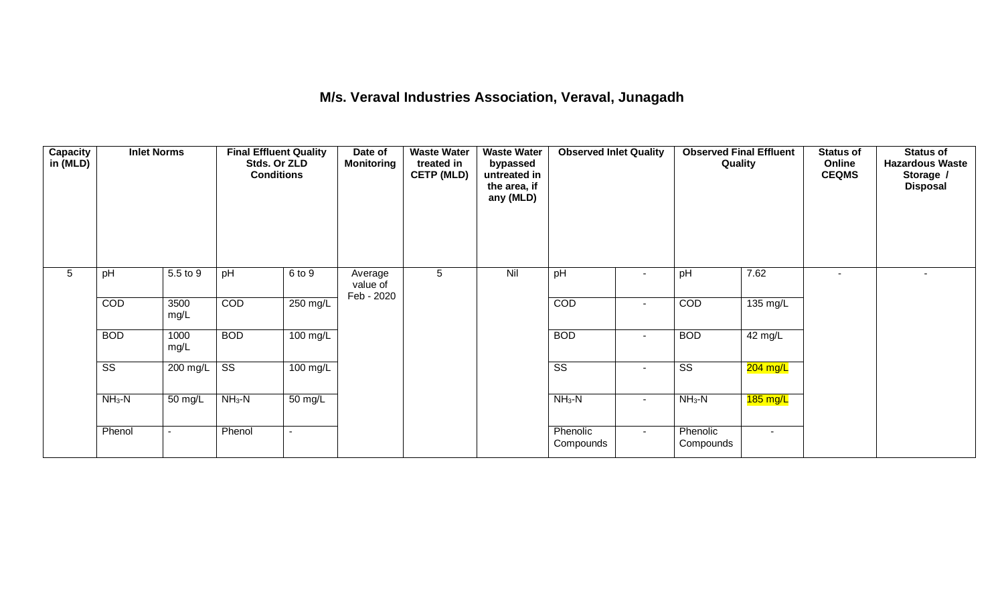## **M/s. Veraval Industries Association, Veraval, Junagadh**

| <b>Capacity</b><br>in (MLD) | <b>Inlet Norms</b>     |                          | <b>Final Effluent Quality</b><br>Stds. Or ZLD<br><b>Conditions</b> |                    | Date of<br><b>Monitoring</b>      | <b>Waste Water</b><br>treated in<br><b>CETP (MLD)</b> | <b>Waste Water</b><br>bypassed<br>untreated in<br>the area, if<br>any (MLD) | <b>Observed Inlet Quality</b> |                          | <b>Observed Final Effluent</b><br>Quality |            | Status of<br>Online<br><b>CEQMS</b> | <b>Status of</b><br><b>Hazardous Waste</b><br>Storage /<br><b>Disposal</b> |
|-----------------------------|------------------------|--------------------------|--------------------------------------------------------------------|--------------------|-----------------------------------|-------------------------------------------------------|-----------------------------------------------------------------------------|-------------------------------|--------------------------|-------------------------------------------|------------|-------------------------------------|----------------------------------------------------------------------------|
| 5                           | pH                     | 5.5 to 9                 | pH                                                                 | 6 to 9             | Average<br>value of<br>Feb - 2020 | 5                                                     | Nil                                                                         | pH                            |                          | pH                                        | 7.62       | ۰.                                  |                                                                            |
|                             | COD                    | 3500<br>mg/L             | COD                                                                | 250 mg/L           |                                   |                                                       |                                                                             | COD                           | $\blacksquare$           | COD                                       | 135 mg/L   |                                     |                                                                            |
|                             | <b>BOD</b>             | 1000<br>mg/L             | <b>BOD</b>                                                         | 100 mg/L           |                                   |                                                       |                                                                             | <b>BOD</b>                    | $\sim$                   | <b>BOD</b>                                | 42 mg/L    |                                     |                                                                            |
|                             | $\overline{\text{ss}}$ | 200 mg/L                 | $\overline{\text{ss}}$                                             | $100 \text{ mg/L}$ |                                   |                                                       |                                                                             | $\overline{\text{ss}}$        | $\blacksquare$           | $\overline{\text{ss}}$                    | $204$ mg/L |                                     |                                                                            |
|                             | $NH3-N$                | 50 mg/L                  | $NH3-N$                                                            | 50 mg/L            |                                   |                                                       |                                                                             | $NH3-N$                       | $\overline{\phantom{a}}$ | $NH3-N$                                   | $185$ mg/L |                                     |                                                                            |
|                             | Phenol                 | $\overline{\phantom{a}}$ | Phenol                                                             | $\sim$             |                                   |                                                       |                                                                             | Phenolic<br>Compounds         | $\sim$                   | Phenolic<br>Compounds                     | $\sim$     |                                     |                                                                            |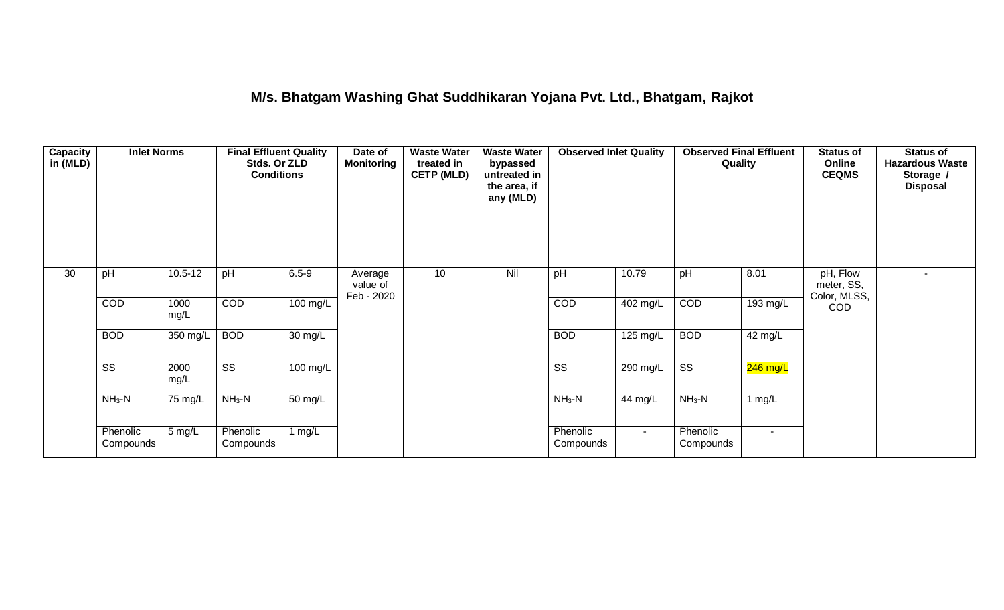## **M/s. Bhatgam Washing Ghat Suddhikaran Yojana Pvt. Ltd., Bhatgam, Rajkot**

| <b>Capacity</b><br>in (MLD) | <b>Inlet Norms</b>     |              | <b>Final Effluent Quality</b><br>Stds. Or ZLD<br><b>Conditions</b> |                      | Date of<br><b>Monitoring</b>      | <b>Waste Water</b><br>treated in<br><b>CETP (MLD)</b> | <b>Waste Water</b><br>bypassed<br>untreated in<br>the area, if<br>any (MLD) | <b>Observed Inlet Quality</b> |                    | <b>Observed Final Effluent</b><br>Quality |            | <b>Status of</b><br>Online<br><b>CEQMS</b> | Status of<br><b>Hazardous Waste</b><br>Storage /<br><b>Disposal</b> |
|-----------------------------|------------------------|--------------|--------------------------------------------------------------------|----------------------|-----------------------------------|-------------------------------------------------------|-----------------------------------------------------------------------------|-------------------------------|--------------------|-------------------------------------------|------------|--------------------------------------------|---------------------------------------------------------------------|
| $\overline{30}$             | pH                     | $10.5 - 12$  | pH                                                                 | $6.5 - 9$            | Average<br>value of<br>Feb - 2020 | 10                                                    | Nil                                                                         | pH                            | 10.79              | pH                                        | 8.01       | pH, Flow<br>meter, SS,<br>Color, MLSS,     |                                                                     |
|                             | COD                    | 1000<br>mg/L | COD                                                                | $100$ mg/L           |                                   |                                                       |                                                                             | COD                           | 402 mg/L           | COD                                       | 193 mg/L   | <b>COD</b>                                 |                                                                     |
|                             | <b>BOD</b>             | 350 mg/L     | <b>BOD</b>                                                         | $\overline{30}$ mg/L |                                   |                                                       |                                                                             | <b>BOD</b>                    | $125 \text{ mg/L}$ | <b>BOD</b>                                | 42 mg/L    |                                            |                                                                     |
|                             | $\overline{\text{ss}}$ | 2000<br>mg/L | $\overline{\text{ss}}$                                             | $100$ mg/L           |                                   |                                                       |                                                                             | $\overline{\text{ss}}$        | 290 mg/L           | $\overline{\text{SS}}$                    | $246$ mg/L |                                            |                                                                     |
|                             | $NH3-N$                | 75 mg/L      | $NH3-N$                                                            | 50 mg/L              |                                   |                                                       |                                                                             | $NH3-N$                       | 44 mg/L            | $NH3-N$                                   | 1 $mg/L$   |                                            |                                                                     |
|                             | Phenolic<br>Compounds  | 5 mg/L       | Phenolic<br>Compounds                                              | 1 mg/L               |                                   |                                                       |                                                                             | Phenolic<br>Compounds         | $\sim$             | Phenolic<br>Compounds                     | $\sim$     |                                            |                                                                     |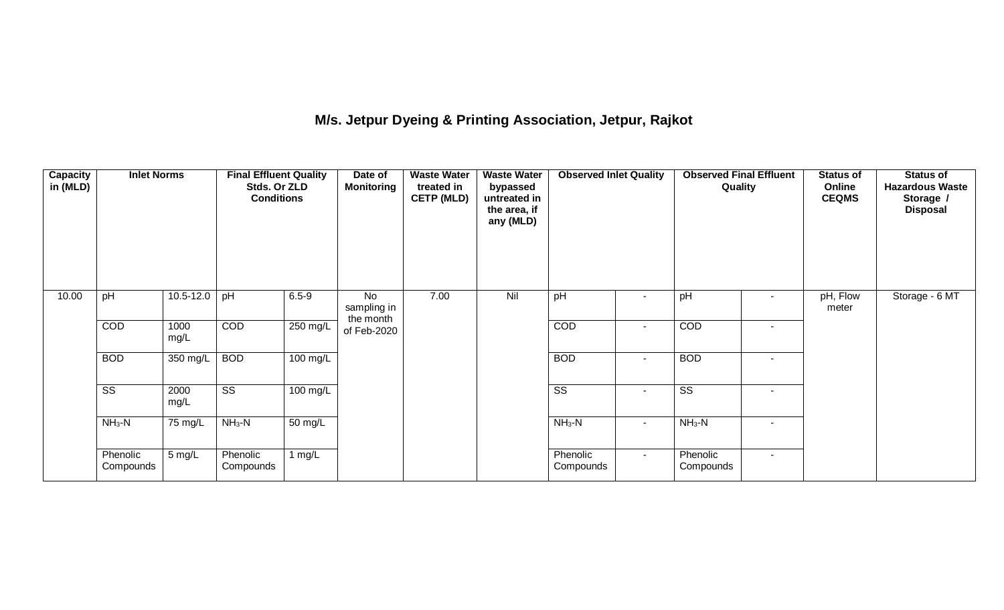## **M/s. Jetpur Dyeing & Printing Association, Jetpur, Rajkot**

| <b>Capacity</b><br>in (MLD) | <b>Inlet Norms</b>     |                      | <b>Final Effluent Quality</b><br>Stds. Or ZLD<br><b>Conditions</b> |                       | Date of<br><b>Monitoring</b>   | <b>Waste Water</b><br>treated in<br><b>CETP (MLD)</b> | <b>Waste Water</b><br>bypassed<br>untreated in<br>the area, if<br>any (MLD) | <b>Observed Inlet Quality</b> |                          | <b>Observed Final Effluent</b><br>Quality |                | <b>Status of</b><br>Online<br><b>CEQMS</b> | Status of<br><b>Hazardous Waste</b><br>Storage /<br><b>Disposal</b> |
|-----------------------------|------------------------|----------------------|--------------------------------------------------------------------|-----------------------|--------------------------------|-------------------------------------------------------|-----------------------------------------------------------------------------|-------------------------------|--------------------------|-------------------------------------------|----------------|--------------------------------------------|---------------------------------------------------------------------|
| 10.00                       | pH                     | $10.5 - 12.0$        | pH                                                                 | $6.5 - 9$             | No<br>sampling in<br>the month | 7.00                                                  | Nil                                                                         | pH                            | $\overline{\phantom{0}}$ | pH                                        |                | pH, Flow<br>meter                          | Storage - 6 MT                                                      |
|                             | COD                    | 1000<br>mg/L         | COD                                                                | $250 \text{ mg/L}$    | of Feb-2020                    |                                                       |                                                                             | COD                           | $\blacksquare$           | COD                                       | $\blacksquare$ |                                            |                                                                     |
|                             | <b>BOD</b>             | 350 mg/L             | <b>BOD</b>                                                         | $100$ mg/L            |                                |                                                       |                                                                             | <b>BOD</b>                    | $\overline{\phantom{a}}$ | <b>BOD</b>                                | $\sim$         |                                            |                                                                     |
|                             | $\overline{\text{ss}}$ | 2000<br>mg/L         | $\overline{\text{ss}}$                                             | $\overline{100}$ mg/L |                                |                                                       |                                                                             | $\overline{\text{ss}}$        | $\blacksquare$           | $\overline{\text{ss}}$                    | $\blacksquare$ |                                            |                                                                     |
|                             | $NH3-N$                | $\overline{7}5$ mg/L | $NH3-N$                                                            | $50 \text{ mg/L}$     |                                |                                                       |                                                                             | $NH3-N$                       | $\sim$                   | $NH3-N$                                   | $\sim$         |                                            |                                                                     |
|                             | Phenolic<br>Compounds  | 5 mg/L               | Phenolic<br>Compounds                                              | 1 $mg/L$              |                                |                                                       |                                                                             | Phenolic<br>Compounds         | $\sim$                   | Phenolic<br>Compounds                     | $\blacksquare$ |                                            |                                                                     |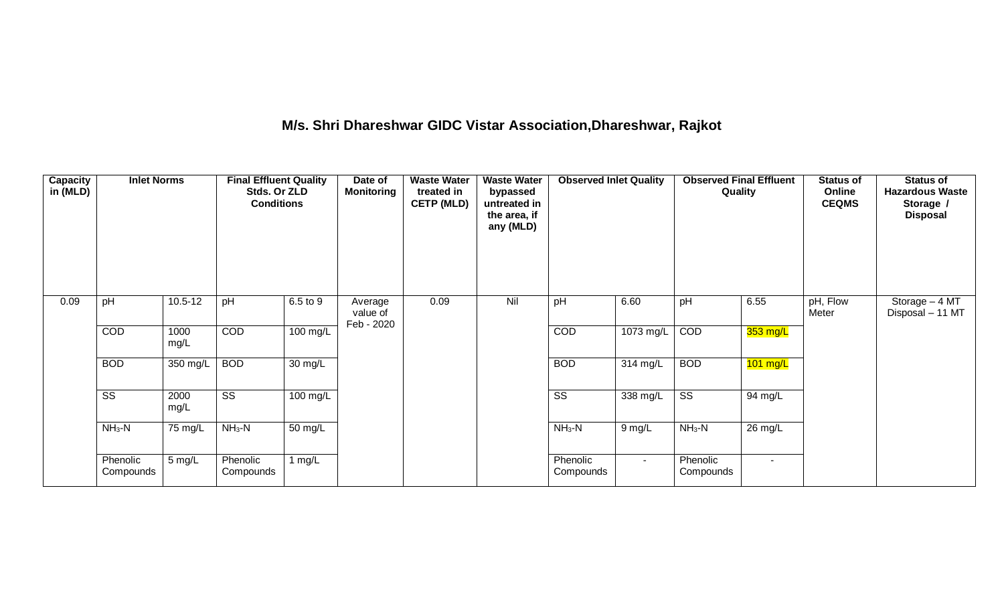### **M/s. Shri Dhareshwar GIDC Vistar Association,Dhareshwar, Rajkot**

| <b>Capacity</b><br>in (MLD) | <b>Inlet Norms</b><br>pH<br>$10.5 - 12$ |                   | <b>Final Effluent Quality</b><br>Stds. Or ZLD<br><b>Conditions</b> |                      | Date of<br><b>Monitoring</b>      | <b>Waste Water</b><br>treated in<br><b>CETP (MLD)</b> | <b>Waste Water</b><br>bypassed<br>untreated in<br>the area, if<br>any (MLD) | <b>Observed Inlet Quality</b> |           |                        | <b>Observed Final Effluent</b><br>Quality | <b>Status of</b><br>Online<br><b>CEQMS</b> | <b>Status of</b><br><b>Hazardous Waste</b><br>Storage /<br><b>Disposal</b> |
|-----------------------------|-----------------------------------------|-------------------|--------------------------------------------------------------------|----------------------|-----------------------------------|-------------------------------------------------------|-----------------------------------------------------------------------------|-------------------------------|-----------|------------------------|-------------------------------------------|--------------------------------------------|----------------------------------------------------------------------------|
| 0.09                        |                                         |                   | pH                                                                 | 6.5 to 9             | Average<br>value of<br>Feb - 2020 | 0.09                                                  | Nil                                                                         | pH                            | 6.60      | pH                     | 6.55                                      | pH, Flow<br>Meter                          | Storage - 4 MT<br>Disposal - 11 MT                                         |
|                             | COD                                     | 1000<br>mg/L      | COD                                                                | $100$ mg/L           |                                   |                                                       |                                                                             | COD                           | 1073 mg/L | COD                    | $353$ mg/L                                |                                            |                                                                            |
|                             | <b>BOD</b>                              | 350 mg/L          | <b>BOD</b>                                                         | $\overline{30}$ mg/L |                                   |                                                       |                                                                             | <b>BOD</b>                    | 314 mg/L  | <b>BOD</b>             | $101$ mg/L                                |                                            |                                                                            |
|                             | $\overline{\text{ss}}$                  | 2000<br>mg/L      | $\overline{\text{ss}}$                                             | 100 mg/L             |                                   |                                                       |                                                                             | $\overline{\text{ss}}$        | 338 mg/L  | $\overline{\text{ss}}$ | 94 mg/L                                   |                                            |                                                                            |
|                             | $NH3-N$                                 | $75 \text{ mg/L}$ | $NH3-N$                                                            | $\overline{50}$ mg/L |                                   |                                                       |                                                                             | $NH3-N$                       | $9$ mg/L  | $NH3-N$                | $26 \text{ mg/L}$                         |                                            |                                                                            |
|                             | Phenolic<br>Compounds                   | 5 mg/L            | Phenolic<br>Compounds                                              | 1 $mg/L$             |                                   |                                                       |                                                                             | Phenolic<br>Compounds         | $\sim$    | Phenolic<br>Compounds  | $\sim$                                    |                                            |                                                                            |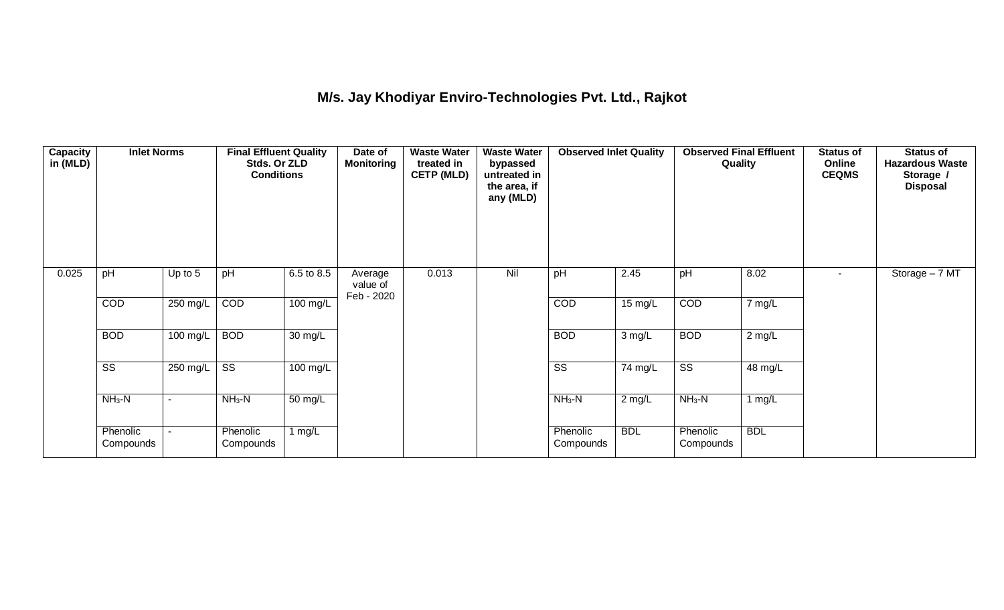## **M/s. Jay Khodiyar Enviro-Technologies Pvt. Ltd., Rajkot**

| <b>Capacity</b><br>in (MLD) | <b>Inlet Norms</b><br>pH<br>Up to $5$ |          | <b>Final Effluent Quality</b><br>Stds. Or ZLD<br><b>Conditions</b> |                      | Date of<br><b>Monitoring</b>      | <b>Waste Water</b><br>treated in<br><b>CETP (MLD)</b> | <b>Waste Water</b><br>bypassed<br>untreated in<br>the area, if<br>any (MLD) | <b>Observed Inlet Quality</b> |                   | <b>Observed Final Effluent</b><br>Quality |            | <b>Status of</b><br>Online<br><b>CEQMS</b> | Status of<br><b>Hazardous Waste</b><br>Storage /<br><b>Disposal</b> |
|-----------------------------|---------------------------------------|----------|--------------------------------------------------------------------|----------------------|-----------------------------------|-------------------------------------------------------|-----------------------------------------------------------------------------|-------------------------------|-------------------|-------------------------------------------|------------|--------------------------------------------|---------------------------------------------------------------------|
| 0.025                       |                                       |          | pH                                                                 | 6.5 to 8.5           | Average<br>value of<br>Feb - 2020 | 0.013                                                 | Nil                                                                         | pH                            | 2.45              | pH                                        | 8.02       | $\sim$                                     | Storage - 7 MT                                                      |
|                             | COD                                   | 250 mg/L | COD                                                                | 100 mg/L             |                                   |                                                       |                                                                             | COD                           | $15 \text{ mg/L}$ | COD                                       | 7 mg/L     |                                            |                                                                     |
|                             | <b>BOD</b>                            | 100 mg/L | <b>BOD</b>                                                         | $\overline{30}$ mg/L |                                   |                                                       |                                                                             | <b>BOD</b>                    | $3$ mg/L          | <b>BOD</b>                                | $2$ mg/L   |                                            |                                                                     |
|                             | $\overline{\text{ss}}$                | 250 mg/L | $\overline{\text{ss}}$                                             | $100 \text{ mg/L}$   |                                   |                                                       |                                                                             | $\overline{\text{ss}}$        | 74 mg/L           | $\overline{\text{SS}}$                    | 48 mg/L    |                                            |                                                                     |
|                             | $NH3-N$                               | ٠        | $NH3-N$                                                            | $\overline{50}$ mg/L |                                   |                                                       |                                                                             | $NH3-N$                       | $2$ mg/L          | $NH3-N$                                   | $1$ mg/L   |                                            |                                                                     |
|                             | Phenolic<br>Compounds                 |          | Phenolic<br>Compounds                                              | 1 $mg/L$             |                                   |                                                       |                                                                             | Phenolic<br>Compounds         | <b>BDL</b>        | Phenolic<br>Compounds                     | <b>BDL</b> |                                            |                                                                     |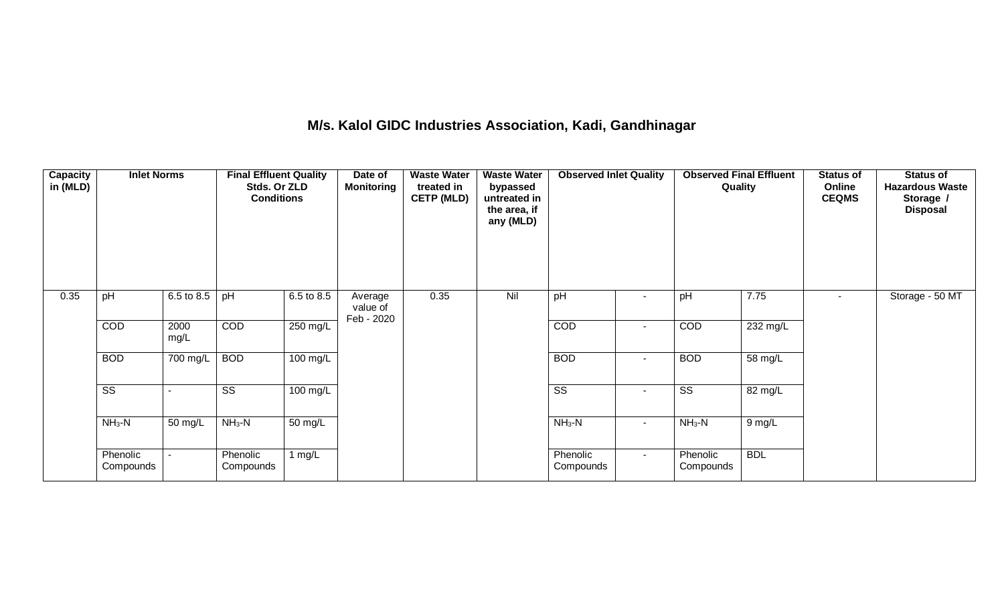### **M/s. Kalol GIDC Industries Association, Kadi, Gandhinagar**

| <b>Capacity</b><br>in (MLD) | <b>Inlet Norms</b><br>6.5 to 8.5<br>pH |                      | <b>Final Effluent Quality</b><br>Stds. Or ZLD<br><b>Conditions</b> |                       | Date of<br><b>Monitoring</b>      | <b>Waste Water</b><br>treated in<br><b>CETP (MLD)</b> | <b>Waste Water</b><br>bypassed<br>untreated in<br>the area, if<br>any (MLD) | <b>Observed Inlet Quality</b> |                          | <b>Observed Final Effluent</b><br>Quality |            | <b>Status of</b><br>Online<br><b>CEQMS</b> | <b>Status of</b><br><b>Hazardous Waste</b><br>Storage /<br><b>Disposal</b> |
|-----------------------------|----------------------------------------|----------------------|--------------------------------------------------------------------|-----------------------|-----------------------------------|-------------------------------------------------------|-----------------------------------------------------------------------------|-------------------------------|--------------------------|-------------------------------------------|------------|--------------------------------------------|----------------------------------------------------------------------------|
| 0.35                        |                                        |                      | pH                                                                 | 6.5 to 8.5            | Average<br>value of<br>Feb - 2020 | 0.35                                                  | Nil                                                                         | pH                            | $\blacksquare$           | pH                                        | 7.75       | $\overline{\phantom{0}}$                   | Storage - 50 MT                                                            |
|                             | COD                                    | 2000<br>mg/L         | COD                                                                | 250 mg/L              |                                   |                                                       |                                                                             | COD                           | $\blacksquare$           | COD                                       | 232 mg/L   |                                            |                                                                            |
|                             | <b>BOD</b>                             | 700 mg/L             | <b>BOD</b>                                                         | $100 \text{ mg/L}$    |                                   |                                                       |                                                                             | <b>BOD</b>                    | $\sim$                   | <b>BOD</b>                                | 58 mg/L    |                                            |                                                                            |
|                             | $\overline{\text{SS}}$                 |                      | $\overline{\text{ss}}$                                             | $\overline{100}$ mg/L |                                   |                                                       |                                                                             | $\overline{\text{ss}}$        | $\overline{\phantom{a}}$ | $\overline{\text{ss}}$                    | 82 mg/L    |                                            |                                                                            |
|                             | $NH3-N$                                | $\overline{50}$ mg/L | $NH3-N$                                                            | $50 \text{ mg/L}$     |                                   |                                                       |                                                                             | $NH3-N$                       | $\sim$                   | $NH3-N$                                   | $9$ mg/L   |                                            |                                                                            |
|                             | Phenolic<br>Compounds                  |                      | Phenolic<br>Compounds                                              | 1 $mg/L$              |                                   |                                                       |                                                                             | Phenolic<br>Compounds         | $\sim$                   | Phenolic<br>Compounds                     | <b>BDL</b> |                                            |                                                                            |